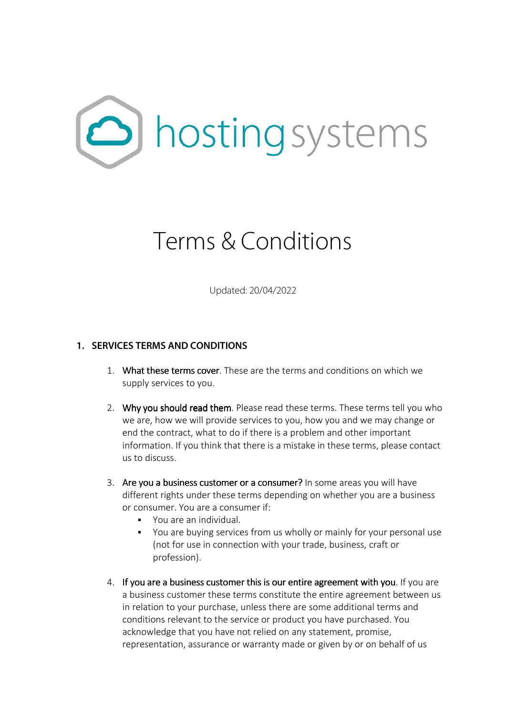

# Terms & Conditions

Updated: 20/04/2022

# **1. SERVICES TERMS AND CONDITIONS**

- 1. What these terms cover. These are the terms and conditions on which we supply services to you.
- 2. Why you should read them. Please read these terms. These terms tell you who we are, how we will provide services to you, how you and we may change or end the contract, what to do if there is a problem and other important information. If you think that there is a mistake in these terms, please contact us to discuss.
- 3. Are you a business customer or a consumer? In some areas you will have different rights under these terms depending on whether you are a business or consumer. You are a consumer if:
	- You are an individual.
	- You are buying services from us wholly or mainly for your personal use (not for use in connection with your trade, business, craft or profession).
- 4. If you are a business customer this is our entire agreement with you. If you are a business customer these terms constitute the entire agreement between us in relation to your purchase, unless there are some additional terms and conditions relevant to the service or product you have purchased. You acknowledge that you have not relied on any statement, promise, representation, assurance or warranty made or given by or on behalf of us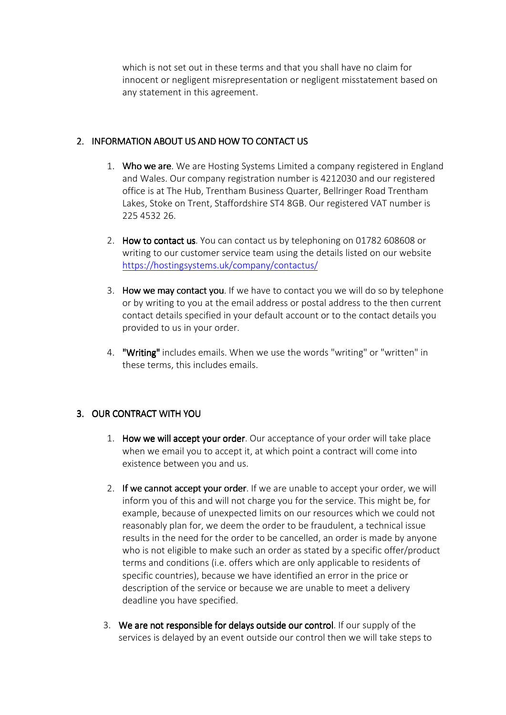which is not set out in these terms and that you shall have no claim for innocent or negligent misrepresentation or negligent misstatement based on any statement in this agreement.

# 2. INFORMATION ABOUT US AND HOW TO CONTACT US

- 1. Who we are. We are Hosting Systems Limited a company registered in England and Wales. Our company registration number is 4212030 and our registered office is at The Hub, Trentham Business Quarter, Bellringer Road Trentham Lakes, Stoke on Trent, Staffordshire ST4 8GB. Our registered VAT number is 225 4532 26.
- 2. How to contact us. You can contact us by telephoning on 01782 608608 or writing to our customer service team using the details listed on our website https://hostingsystems.uk/company/contactus/
- 3. How we may contact you. If we have to contact you we will do so by telephone or by writing to you at the email address or postal address to the then current contact details specified in your default account or to the contact details you provided to us in your order.
- 4. "Writing" includes emails. When we use the words "writing" or "written" in these terms, this includes emails.

# 3. OUR CONTRACT WITH YOU

- 1. How we will accept your order. Our acceptance of your order will take place when we email you to accept it, at which point a contract will come into existence between you and us.
- 2. If we cannot accept your order. If we are unable to accept your order, we will inform you of this and will not charge you for the service. This might be, for example, because of unexpected limits on our resources which we could not reasonably plan for, we deem the order to be fraudulent, a technical issue results in the need for the order to be cancelled, an order is made by anyone who is not eligible to make such an order as stated by a specific offer/product terms and conditions (i.e. offers which are only applicable to residents of specific countries), because we have identified an error in the price or description of the service or because we are unable to meet a delivery deadline you have specified.
- 3. We are not responsible for delays outside our control. If our supply of the services is delayed by an event outside our control then we will take steps to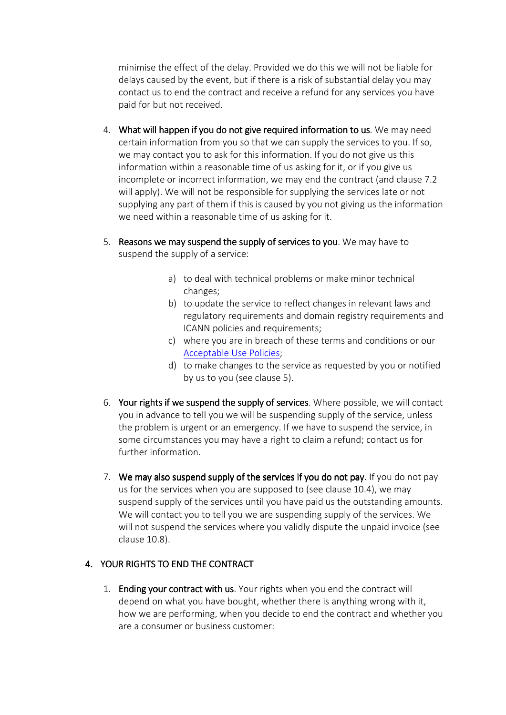minimise the effect of the delay. Provided we do this we will not be liable for delays caused by the event, but if there is a risk of substantial delay you may contact us to end the contract and receive a refund for any services you have paid for but not received.

- 4. What will happen if you do not give required information to us. We may need certain information from you so that we can supply the services to you. If so, we may contact you to ask for this information. If you do not give us this information within a reasonable time of us asking for it, or if you give us incomplete or incorrect information, we may end the contract (and clause 7.2 will apply). We will not be responsible for supplying the services late or not supplying any part of them if this is caused by you not giving us the information we need within a reasonable time of us asking for it.
- 5. Reasons we may suspend the supply of services to you. We may have to suspend the supply of a service:
	- a) to deal with technical problems or make minor technical changes;
	- b) to update the service to reflect changes in relevant laws and regulatory requirements and domain registry requirements and ICANN policies and requirements;
	- c) where you are in breach of these terms and conditions or our Acceptable Use Policies;
	- d) to make changes to the service as requested by you or notified by us to you (see clause 5).
- 6. Your rights if we suspend the supply of services. Where possible, we will contact you in advance to tell you we will be suspending supply of the service, unless the problem is urgent or an emergency. If we have to suspend the service, in some circumstances you may have a right to claim a refund; contact us for further information.
- 7. We may also suspend supply of the services if you do not pay. If you do not pay us for the services when you are supposed to (see clause 10.4), we may suspend supply of the services until you have paid us the outstanding amounts. We will contact you to tell you we are suspending supply of the services. We will not suspend the services where you validly dispute the unpaid invoice (see clause 10.8).

# 4. YOUR RIGHTS TO END THE CONTRACT YOUR

1. Ending your contract with us. Your rights when you end the contract will depend on what you have bought, whether there is anything wrong with it, how we are performing, when you decide to end the contract and whether you are a consumer or business customer: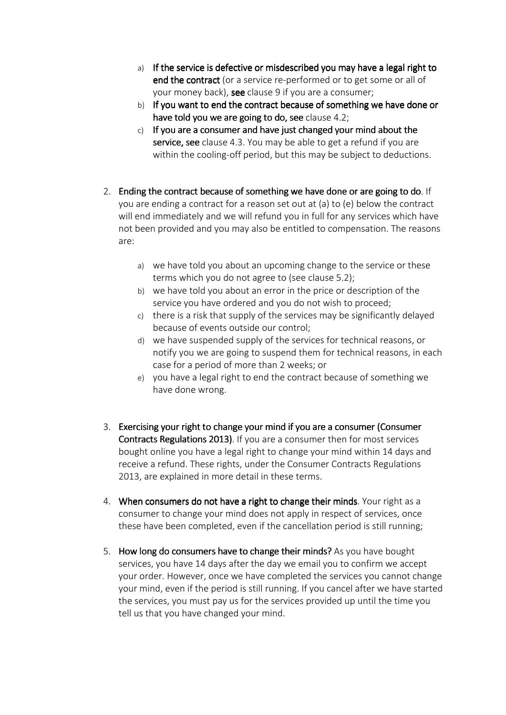- a) If the service is defective or misdescribed you may have a legal right to end the contract (or a service re-performed or to get some or all of your money back), see clause 9 if you are a consumer;
- b) If you want to end the contract because of something we have done or have told you we are going to do, see clause 4.2;
- $c)$  If you are a consumer and have just changed your mind about the service, see clause 4.3. You may be able to get a refund if you are within the cooling-off period, but this may be subject to deductions.
- 2. Ending the contract because of something we have done or are going to do. If you are ending a contract for a reason set out at (a) to (e) below the contract will end immediately and we will refund you in full for any services which have not been provided and you may also be entitled to compensation. The reasons are:
	- a) we have told you about an upcoming change to the service or these terms which you do not agree to (see clause 5.2);
	- b) we have told you about an error in the price or description of the service you have ordered and you do not wish to proceed;
	- c) there is a risk that supply of the services may be significantly delayed because of events outside our control;
	- d) we have suspended supply of the services for technical reasons, or notify you we are going to suspend them for technical reasons, in each case for a period of more than 2 weeks; or
	- e) you have a legal right to end the contract because of something we have done wrong.
- 3. Exercising your right to change your mind if you are a consumer (Consumer Contracts Regulations 2013). If you are a consumer then for most services bought online you have a legal right to change your mind within 14 days and receive a refund. These rights, under the Consumer Contracts Regulations 2013, are explained in more detail in these terms.
- 4. When consumers do not have a right to change their minds. Your right as a consumer to change your mind does not apply in respect of services, once these have been completed, even if the cancellation period is still running;
- 5. How long do consumers have to change their minds? As you have bought services, you have 14 days after the day we email you to confirm we accept your order. However, once we have completed the services you cannot change your mind, even if the period is still running. If you cancel after we have started the services, you must pay us for the services provided up until the time you tell us that you have changed your mind.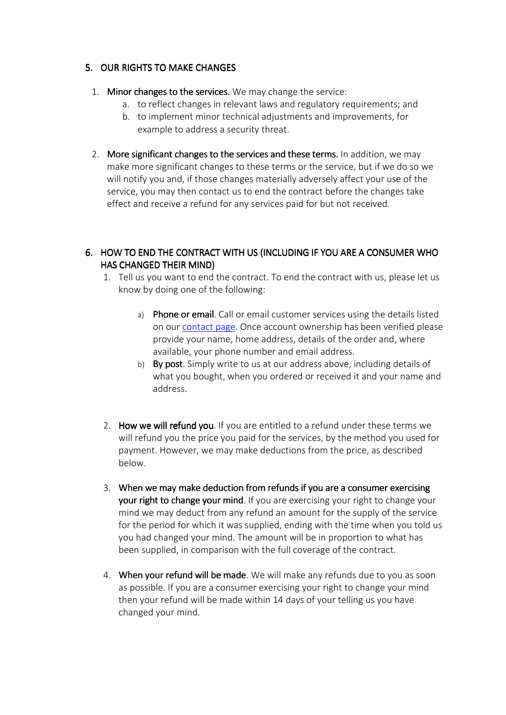# 5. OUR RIGHTS TO MAKE CHANGES

- 1. Minor changes to the services. We may change the service:
	- a. to reflect changes in relevant laws and regulatory requirements; and
	- b. to implement minor technical adjustments and improvements, for example to address a security threat.
- 2. More significant changes to the services and these terms. In addition, we may make more significant changes to these terms or the service, but if we do so we will notify you and, if those changes materially adversely affect your use of the service, you may then contact us to end the contract before the changes take effect and receive a refund for any services paid for but not received.

# 6. HOW TO END THE CONTRACT WITH US (INCLUDING IF YOU ARE A CONSUMER WHO HAS CHANGED THEIR MIND)

- 1. Tell us you want to end the contract. To end the contract with us, please let us know by doing one of the following:
	- a) Phone or email. Call or email customer services using the details listed on our contact page. Once account ownership has been verified please provide your name, home address, details of the order and, where available, your phone number and email address.
	- b) By post. Simply write to us at our address above, including details of what you bought, when you ordered or received it and your name and address.
- 2. How we will refund you. If you are entitled to a refund under these terms we will refund you the price you paid for the services, by the method you used for payment. However, we may make deductions from the price, as described below.
- 3. When we may make deduction from refunds if you are a consumer exercising your right to change your mind. If you are exercising your right to change your mind we may deduct from any refund an amount for the supply of the service for the period for which it was supplied, ending with the time when you told us you had changed your mind. The amount will be in proportion to what has been supplied, in comparison with the full coverage of the contract.
- 4. When your refund will be made. We will make any refunds due to you as soon as possible. If you are a consumer exercising your right to change your mind then your refund will be made within 14 days of your telling us you have changed your mind.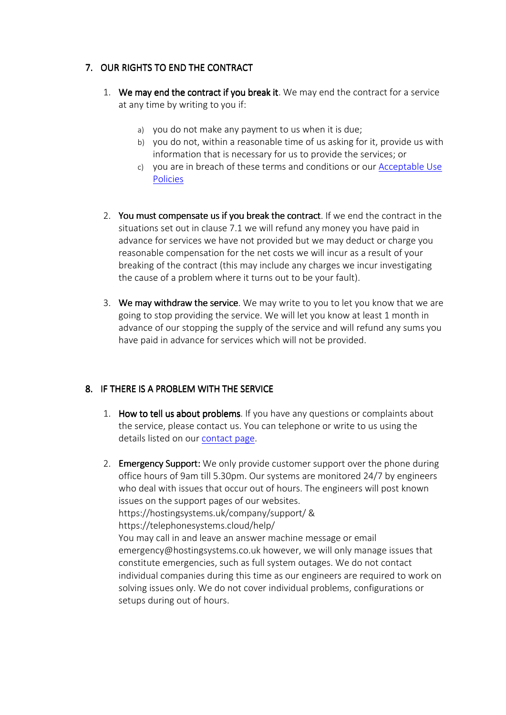# 7. OUR RIGHTS TO END THE CONTRACT

- 1. We may end the contract if you break it. We may end the contract for a service at any time by writing to you if:
	- a) you do not make any payment to us when it is due;
	- b) you do not, within a reasonable time of us asking for it, provide us with information that is necessary for us to provide the services; or
	- c) you are in breach of these terms and conditions or our Acceptable Use Policies
- 2. You must compensate us if you break the contract. If we end the contract in the situations set out in clause 7.1 we will refund any money you have paid in advance for services we have not provided but we may deduct or charge you reasonable compensation for the net costs we will incur as a result of your breaking of the contract (this may include any charges we incur investigating the cause of a problem where it turns out to be your fault).
- 3. We may withdraw the service. We may write to you to let you know that we are going to stop providing the service. We will let you know at least 1 month in advance of our stopping the supply of the service and will refund any sums you have paid in advance for services which will not be provided.

# 8. IF THERE IS A PROBLEM WITH THE SERVICE

- 1. How to tell us about problems. If you have any questions or complaints about the service, please contact us. You can telephone or write to us using the details listed on our contact page.
- 2. Emergency Support: We only provide customer support over the phone during office hours of 9am till 5.30pm.Our systems are monitored 24/7 by engineers who deal with issues that occur out of hours. The engineers will post known issues on the support pages of our websites. https://hostingsystems.uk/company/support/ & https://telephonesystems.cloud/help/ You may call in and leave an answer machine message or email emergency@hostingsystems.co.uk however, we will only manage issues that constitute emergencies, such as full system outages. We do not contact individual companies during this time as our engineers are required to work on solving issues only. We do not cover individual problems, configurations or setups during out of hours.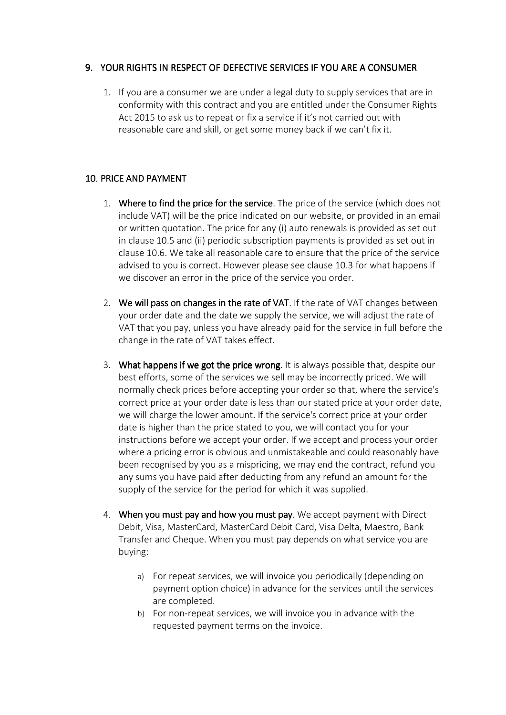# 9. YOUR RIGHTS IN RESPECT OF DEFECTIVE SERVICES IF YOU ARE A CONSUMER

1. If you are a consumer we are under a legal duty to supply services that are in conformity with this contract and you are entitled under the Consumer Rights Act 2015 to ask us to repeat or fix a service if it's not carried out with reasonable care and skill, or get some money back if we can't fix it.

# 10. PRICE AND PAYMENT

- 1. Where to find the price for the service. The price of the service (which does not include VAT) will be the price indicated on our website, or provided in an email or written quotation. The price for any (i) auto renewals is provided as set out in clause 10.5 and (ii) periodic subscription payments is provided as set out in clause 10.6. We take all reasonable care to ensure that the price of the service advised to you is correct. However please see clause 10.3 for what happens if we discover an error in the price of the service you order.
- 2. We will pass on changes in the rate of VAT. If the rate of VAT changes between your order date and the date we supply the service, we will adjust the rate of VAT that you pay, unless you have already paid for the service in full before the change in the rate of VAT takes effect.
- 3. What happens if we got the price wrong. It is always possible that, despite our best efforts, some of the services we sell may be incorrectly priced. We will normally check prices before accepting your order so that, where the service's correct price at your order date is less than our stated price at your order date, we will charge the lower amount. If the service's correct price at your order date is higher than the price stated to you, we will contact you for your instructions before we accept your order. If we accept and process your order where a pricing error is obvious and unmistakeable and could reasonably have been recognised by you as a mispricing, we may end the contract, refund you any sums you have paid after deducting from any refund an amount for the supply of the service for the period for which it was supplied.
- 4. When you must pay and how you must pay. We accept payment with Direct Debit, Visa, MasterCard, MasterCard Debit Card, Visa Delta, Maestro, Bank Transfer and Cheque. When you must pay depends on what service you are buying:
	- a) For repeat services, we will invoice you periodically (depending on payment option choice) in advance for the services until the services are completed.
	- b) For non-repeat services, we will invoice you in advance with the requested payment terms on the invoice.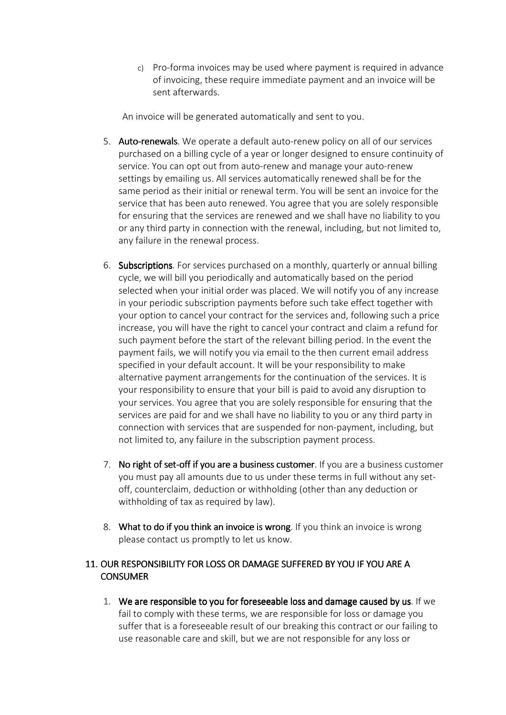c) Pro-forma invoices may be used where payment is required in advance of invoicing, these require immediate payment and an invoice will be sent afterwards.

An invoice will be generated automatically and sent to you.

- 5. Auto-renewals. We operate a default auto-renew policy on all of our services purchased on a billing cycle of a year or longer designed to ensure continuity of service. You can opt out from auto-renew and manage your auto-renew settings by emailing us. All services automatically renewed shall be for the same period as their initial or renewal term. You will be sent an invoice for the service that has been auto renewed. You agree that you are solely responsible for ensuring that the services are renewed and we shall have no liability to you or any third party in connection with the renewal, including, but not limited to, any failure in the renewal process.
- 6. Subscriptions. For services purchased on a monthly, quarterly or annual billing cycle, we will bill you periodically and automatically based on the period selected when your initial order was placed. We will notify you of any increase in your periodic subscription payments before such take effect together with your option to cancel your contract for the services and, following such a price increase, you will have the right to cancel your contract and claim a refund for such payment before the start of the relevant billing period. In the event the payment fails, we will notify you via email to the then current email address specified in your default account. It will be your responsibility to make alternative payment arrangements for the continuation of the services. It is your responsibility to ensure that your bill is paid to avoid any disruption to your services. You agree that you are solely responsible for ensuring that the services are paid for and we shall have no liability to you or any third party in connection with services that are suspended for non-payment, including, but not limited to, any failure in the subscription payment process.
- 7. No right of set-off if you are a business customer. If you are a business customer you must pay all amounts due to us under these terms in full without any setoff, counterclaim, deduction or withholding (other than any deduction or withholding of tax as required by law).
- 8. What to do if you think an invoice is wrong. If you think an invoice is wrong please contact us promptly to let us know.

# 11. OUR RESPONSIBILITY FOR LOSS OR DAMAGE SUFFERED BY YOU IF YOU ARE A **CONSUMER**

1. We are responsible to you for foreseeable loss and damage caused by us. If we fail to comply with these terms, we are responsible for loss or damage you suffer that is a foreseeable result of our breaking this contract or our failing to use reasonable care and skill, but we are not responsible for any loss or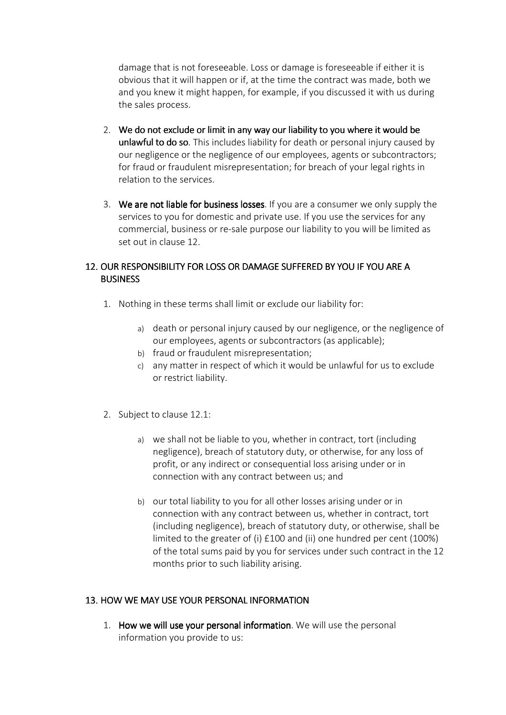damage that is not foreseeable. Loss or damage is foreseeable if either it is obvious that it will happen or if, at the time the contract was made, both we and you knew it might happen, for example, if you discussed it with us during the sales process.

- 2. We do not exclude or limit in any way our liability to you where it would be unlawful to do so. This includes liability for death or personal injury caused by our negligence or the negligence of our employees, agents or subcontractors; for fraud or fraudulent misrepresentation; for breach of your legal rights in relation to the services.
- 3. We are not liable for business losses. If you are a consumer we only supply the services to you for domestic and private use. If you use the services for any commercial, business or re-sale purpose our liability to you will be limited as set out in clause 12.

# 12. OUR RESPONSIBILITY FOR LOSS OR DAMAGE SUFFERED BY YOU IF YOU ARE A **BUSINESS**

- 1. Nothing in these terms shall limit or exclude our liability for:
	- a) death or personal injury caused by our negligence, or the negligence of our employees, agents or subcontractors (as applicable);
	- b) fraud or fraudulent misrepresentation;
	- c) any matter in respect of which it would be unlawful for us to exclude or restrict liability.
- 2. Subject to clause 12.1:
	- a) we shall not be liable to you, whether in contract, tort (including negligence), breach of statutory duty, or otherwise, for any loss of profit, or any indirect or consequential loss arising under or in connection with any contract between us; and
	- b) our total liability to you for all other losses arising under or in connection with any contract between us, whether in contract, tort (including negligence), breach of statutory duty, or otherwise, shall be limited to the greater of (i) £100 and (ii) one hundred per cent (100%) of the total sums paid by you for services under such contract in the 12 months prior to such liability arising.

# 13. HOW WE MAY USE YOUR PERSONAL INFORMATION

1. How we will use your personal information. We will use the personal information you provide to us: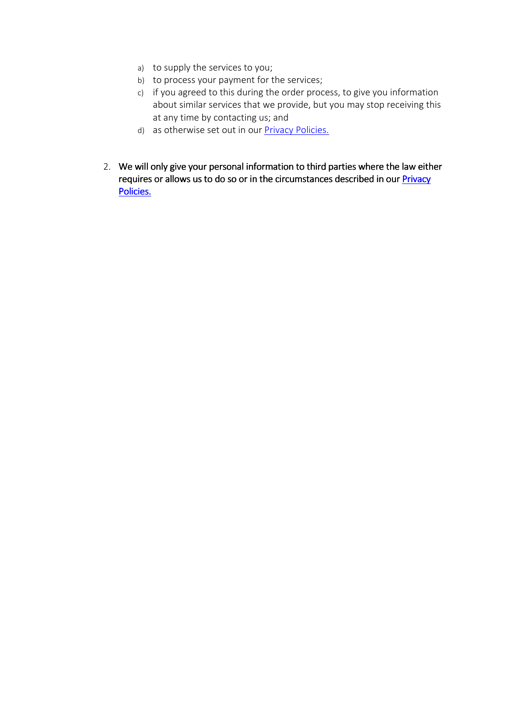- a) to supply the services to you;
- b) to process your payment for the services;
- c) if you agreed to this during the order process, to give you information about similar services that we provide, but you may stop receiving this at any time by contacting us; and
- d) as otherwise set out in our Privacy Policies.
- 2. We will only give your personal information to third parties where the law either requires or allows us to do so or in the circumstances described in our **Privacy** Policies.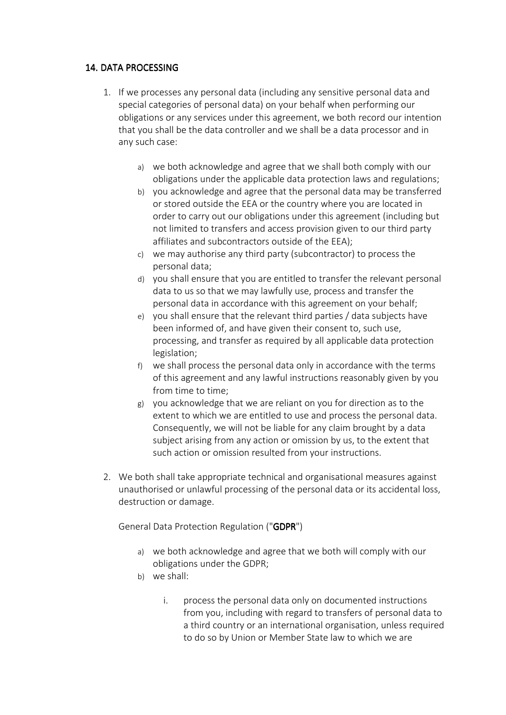# 14. DATA PROCESSING

- 1. If we processes any personal data (including any sensitive personal data and special categories of personal data) on your behalf when performing our obligations or any services under this agreement, we both record our intention that you shall be the data controller and we shall be a data processor and in any such case:
	- a) we both acknowledge and agree that we shall both comply with our obligations under the applicable data protection laws and regulations;
	- b) you acknowledge and agree that the personal data may be transferred or stored outside the EEA or the country where you are located in order to carry out our obligations under this agreement (including but not limited to transfers and access provision given to our third party affiliates and subcontractors outside of the EEA);
	- c) we may authorise any third party (subcontractor) to process the personal data;
	- d) you shall ensure that you are entitled to transfer the relevant personal data to us so that we may lawfully use, process and transfer the personal data in accordance with this agreement on your behalf;
	- e) you shall ensure that the relevant third parties / data subjects have been informed of, and have given their consent to, such use, processing, and transfer as required by all applicable data protection legislation;
	- f) we shall process the personal data only in accordance with the terms of this agreement and any lawful instructions reasonably given by you from time to time;
	- g) you acknowledge that we are reliant on you for direction as to the extent to which we are entitled to use and process the personal data. Consequently, we will not be liable for any claim brought by a data subject arising from any action or omission by us, to the extent that such action or omission resulted from your instructions.
- 2. We both shall take appropriate technical and organisational measures against unauthorised or unlawful processing of the personal data or its accidental loss, destruction or damage.

General Data Protection Regulation ("GDPR")

- a) we both acknowledge and agree that we both will comply with our obligations under the GDPR;
- b) we shall:
	- i. process the personal data only on documented instructions from you, including with regard to transfers of personal data to a third country or an international organisation, unless required to do so by Union or Member State law to which we are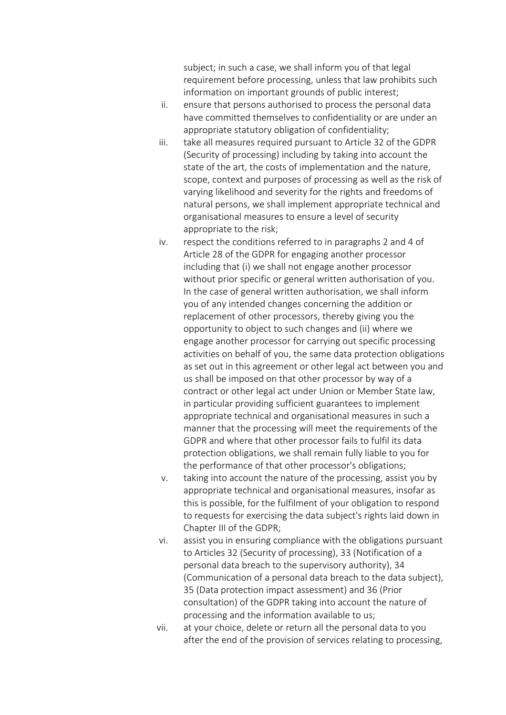subject; in such a case, we shall inform you of that legal requirement before processing, unless that law prohibits such information on important grounds of public interest;

- ii. ensure that persons authorised to process the personal data have committed themselves to confidentiality or are under an appropriate statutory obligation of confidentiality;
- iii. take all measures required pursuant to Article 32 of the GDPR (Security of processing) including by taking into account the state of the art, the costs of implementation and the nature, scope, context and purposes of processing as well as the risk of varying likelihood and severity for the rights and freedoms of natural persons, we shall implement appropriate technical and organisational measures to ensure a level of security appropriate to the risk;
- iv. respect the conditions referred to in paragraphs 2 and 4 of Article 28 of the GDPR for engaging another processor including that (i) we shall not engage another processor without prior specific or general written authorisation of you. In the case of general written authorisation, we shall inform you of any intended changes concerning the addition or replacement of other processors, thereby giving you the opportunity to object to such changes and (ii) where we engage another processor for carrying out specific processing activities on behalf of you, the same data protection obligations as set out in this agreement or other legal act between you and us shall be imposed on that other processor by way of a contract or other legal act under Union or Member State law, in particular providing sufficient guarantees to implement appropriate technical and organisational measures in such a manner that the processing will meet the requirements of the GDPR and where that other processor fails to fulfil its data protection obligations, we shall remain fully liable to you for the performance of that other processor's obligations;
- v. taking into account the nature of the processing, assist you by appropriate technical and organisational measures, insofar as this is possible, for the fulfilment of your obligation to respond to requests for exercising the data subject's rights laid down in Chapter III of the GDPR;
- vi. assist you in ensuring compliance with the obligations pursuant to Articles 32 (Security of processing), 33 (Notification of a personal data breach to the supervisory authority), 34 (Communication of a personal data breach to the data subject), 35 (Data protection impact assessment) and 36 (Prior consultation) of the GDPR taking into account the nature of processing and the information available to us;
- vii. at your choice, delete or return all the personal data to you after the end of the provision of services relating to processing,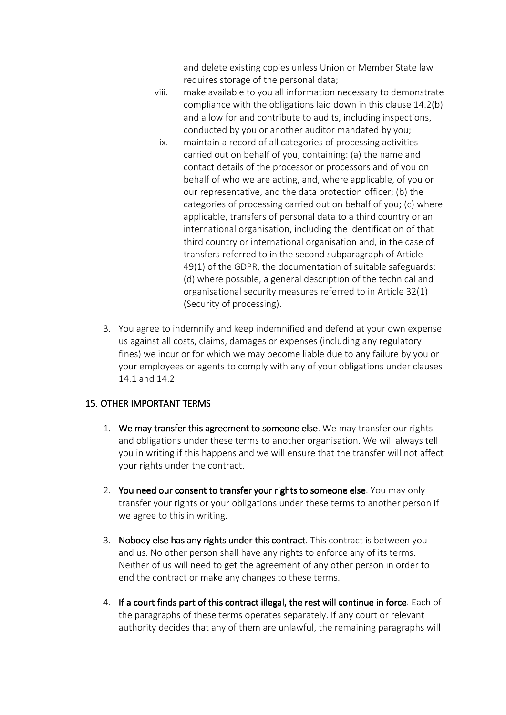and delete existing copies unless Union or Member State law requires storage of the personal data;

- viii. make available to you all information necessary to demonstrate compliance with the obligations laid down in this clause 14.2(b) and allow for and contribute to audits, including inspections, conducted by you or another auditor mandated by you;
- ix. maintain a record of all categories of processing activities carried out on behalf of you, containing: (a) the name and contact details of the processor or processors and of you on behalf of who we are acting, and, where applicable, of you or our representative, and the data protection officer; (b) the categories of processing carried out on behalf of you; (c) where applicable, transfers of personal data to a third country or an international organisation, including the identification of that third country or international organisation and, in the case of transfers referred to in the second subparagraph of Article 49(1) of the GDPR, the documentation of suitable safeguards; (d) where possible, a general description of the technical and organisational security measures referred to in Article 32(1) (Security of processing).
- 3. You agree to indemnify and keep indemnified and defend at your own expense us against all costs, claims, damages or expenses (including any regulatory fines) we incur or for which we may become liable due to any failure by you or your employees or agents to comply with any of your obligations under clauses 14.1 and 14.2.

## 15. OTHER IMPORTANT TERMS

- 1. We may transfer this agreement to someone else. We may transfer our rights and obligations under these terms to another organisation. We will always tell you in writing if this happens and we will ensure that the transfer will not affect your rights under the contract.
- 2. You need our consent to transfer your rights to someone else. You may only transfer your rights or your obligations under these terms to another person if we agree to this in writing.
- 3. Nobody else has any rights under this contract. This contract is between you and us. No other person shall have any rights to enforce any of its terms. Neither of us will need to get the agreement of any other person in order to end the contract or make any changes to these terms.
- 4. If a court finds part of this contract illegal, the rest will continue in force. Each of the paragraphs of these terms operates separately. If any court or relevant authority decides that any of them are unlawful, the remaining paragraphs will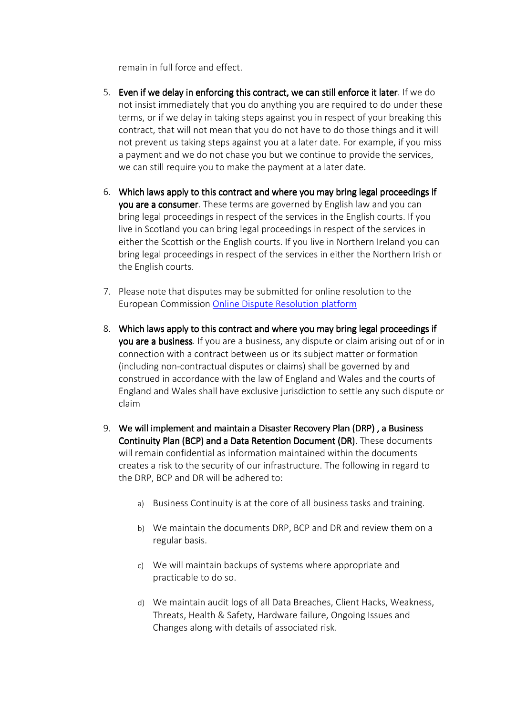remain in full force and effect.

- 5. Even if we delay in enforcing this contract, we can still enforce it later. If we do not insist immediately that you do anything you are required to do under these terms, or if we delay in taking steps against you in respect of your breaking this contract, that will not mean that you do not have to do those things and it will not prevent us taking steps against you at a later date. For example, if you miss a payment and we do not chase you but we continue to provide the services, we can still require you to make the payment at a later date.
- 6. Which laws apply to this contract and where you may bring legal proceedings if you are a consumer. These terms are governed by English law and you can bring legal proceedings in respect of the services in the English courts. If you live in Scotland you can bring legal proceedings in respect of the services in either the Scottish or the English courts. If you live in Northern Ireland you can bring legal proceedings in respect of the services in either the Northern Irish or the English courts.
- 7. Please note that disputes may be submitted for online resolution to the European Commission Online Dispute Resolution platform
- 8. Which laws apply to this contract and where you may bring legal proceedings if you are a business. If you are a business, any dispute or claim arising out of or in connection with a contract between us or its subject matter or formation (including non-contractual disputes or claims) shall be governed by and construed in accordance with the law of England and Wales and the courts of England and Wales shall have exclusive jurisdiction to settle any such dispute or claim
- 9. We will implement and maintain a Disaster Recovery Plan (DRP), a Business Continuity Plan (BCP) and a Data Retention Document (DR). These documents will remain confidential as information maintained within the documents creates a risk to the security of our infrastructure. The following in regard to the DRP, BCP and DR will be adhered to:
	- a) Business Continuity is at the core of all business tasks and training.
	- b) We maintain the documents DRP, BCP and DR and review them on a regular basis.
	- c) We will maintain backups of systems where appropriate and practicable to do so.
	- d) We maintain audit logs of all Data Breaches, Client Hacks, Weakness, Threats, Health & Safety, Hardware failure, Ongoing Issues and Changes along with details of associated risk.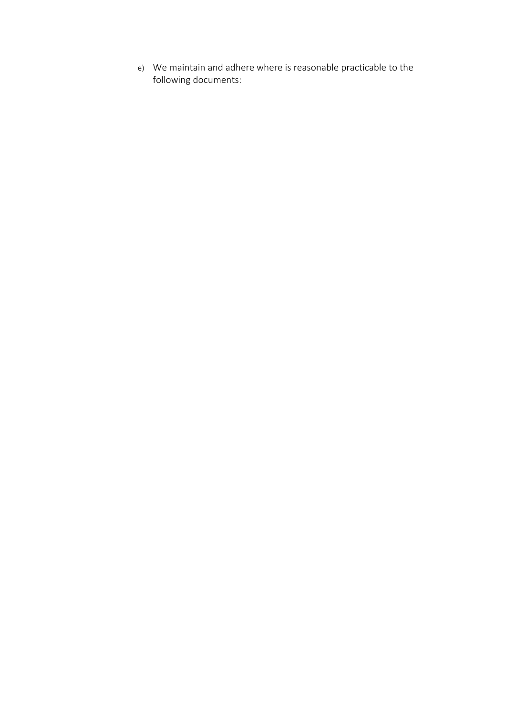e) We maintain and adhere where is reasonable practicable to the following documents: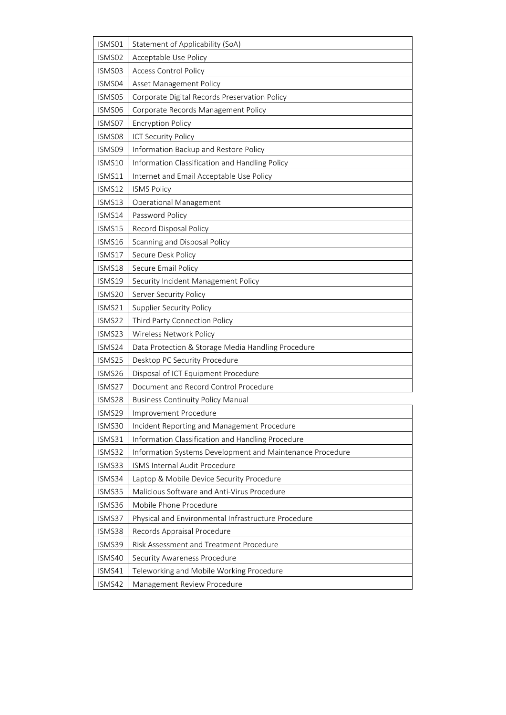| ISMS01 | <b>Statement of Applicability (SoA)</b>                   |
|--------|-----------------------------------------------------------|
| ISMS02 | Acceptable Use Policy                                     |
| ISMS03 | <b>Access Control Policy</b>                              |
| ISMS04 | Asset Management Policy                                   |
| ISMS05 | Corporate Digital Records Preservation Policy             |
| ISMS06 | Corporate Records Management Policy                       |
| ISMS07 | <b>Encryption Policy</b>                                  |
| ISMS08 | ICT Security Policy                                       |
| ISMS09 | Information Backup and Restore Policy                     |
| ISMS10 | Information Classification and Handling Policy            |
| ISMS11 | Internet and Email Acceptable Use Policy                  |
| ISMS12 | <b>ISMS Policy</b>                                        |
| ISMS13 | <b>Operational Management</b>                             |
| ISMS14 | Password Policy                                           |
| ISMS15 | Record Disposal Policy                                    |
| ISMS16 | Scanning and Disposal Policy                              |
| ISMS17 | Secure Desk Policy                                        |
| ISMS18 | Secure Email Policy                                       |
| ISMS19 | Security Incident Management Policy                       |
| ISMS20 | Server Security Policy                                    |
| ISMS21 | <b>Supplier Security Policy</b>                           |
| ISMS22 | Third Party Connection Policy                             |
| ISMS23 | Wireless Network Policy                                   |
| ISMS24 | Data Protection & Storage Media Handling Procedure        |
| ISMS25 | Desktop PC Security Procedure                             |
| ISMS26 | Disposal of ICT Equipment Procedure                       |
| ISMS27 | Document and Record Control Procedure                     |
| ISMS28 | <b>Business Continuity Policy Manual</b>                  |
| ISMS29 | Improvement Procedure                                     |
| ISMS30 | Incident Reporting and Management Procedure               |
| ISMS31 | Information Classification and Handling Procedure         |
| ISMS32 | Information Systems Development and Maintenance Procedure |
| ISMS33 | ISMS Internal Audit Procedure                             |
| ISMS34 | Laptop & Mobile Device Security Procedure                 |
| ISMS35 | Malicious Software and Anti-Virus Procedure               |
| ISMS36 | Mobile Phone Procedure                                    |
| ISMS37 | Physical and Environmental Infrastructure Procedure       |
| ISMS38 | Records Appraisal Procedure                               |
| ISMS39 | Risk Assessment and Treatment Procedure                   |
| ISMS40 | Security Awareness Procedure                              |
| ISMS41 | Teleworking and Mobile Working Procedure                  |
| ISMS42 | Management Review Procedure                               |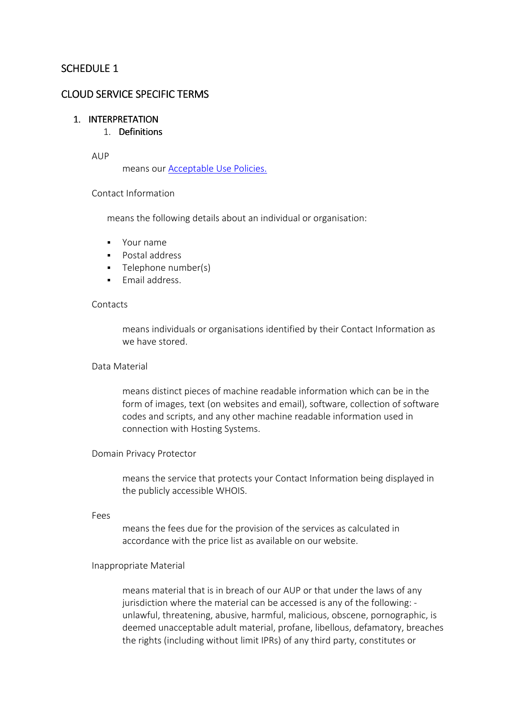# SCHEDULE 1

## CLOUD SERVICE SPECIFIC TERMS

#### 1. INTERPRETATION

## 1 Definitions

## AUP

means our Acceptable Use Policies.

## Contact Information

means the following details about an individual or organisation:

- Your name
- **Postal address**
- **Telephone number(s)**
- **Email address.**

## **Contacts**

means individuals or organisations identified by their Contact Information as we have stored.

## Data Material

means distinct pieces of machine readable information which can be in the form of images, text (on websites and email), software, collection of software codes and scripts, and any other machine readable information used in connection with Hosting Systems.

#### Domain Privacy Protector

means the service that protects your Contact Information being displayed in the publicly accessible WHOIS.

#### Fees

means the fees due for the provision of the services as calculated in accordance with the price list as available on our website.

## Inappropriate Material

means material that is in breach of our AUP or that under the laws of any jurisdiction where the material can be accessed is any of the following: unlawful, threatening, abusive, harmful, malicious, obscene, pornographic, is deemed unacceptable adult material, profane, libellous, defamatory, breaches the rights (including without limit IPRs) of any third party, constitutes or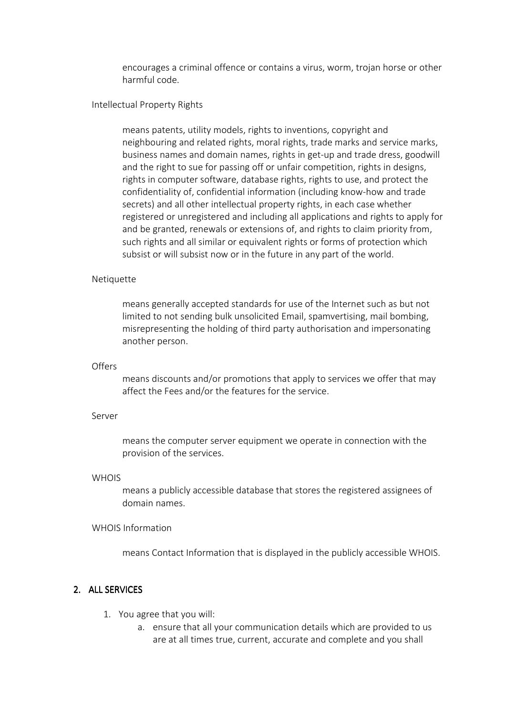encourages a criminal offence or contains a virus, worm, trojan horse or other harmful code.

#### Intellectual Property Rights

means patents, utility models, rights to inventions, copyright and neighbouring and related rights, moral rights, trade marks and service marks, business names and domain names, rights in get-up and trade dress, goodwill and the right to sue for passing off or unfair competition, rights in designs, rights in computer software, database rights, rights to use, and protect the confidentiality of, confidential information (including know-how and trade secrets) and all other intellectual property rights, in each case whether registered or unregistered and including all applications and rights to apply for and be granted, renewals or extensions of, and rights to claim priority from, such rights and all similar or equivalent rights or forms of protection which subsist or will subsist now or in the future in any part of the world.

#### **Netiquette**

means generally accepted standards for use of the Internet such as but not limited to not sending bulk unsolicited Email, spamvertising, mail bombing, misrepresenting the holding of third party authorisation and impersonating another person.

#### **Offers**

means discounts and/or promotions that apply to services we offer that may affect the Fees and/or the features for the service.

#### Server

means the computer server equipment we operate in connection with the provision of the services.

#### **WHOIS**

means a publicly accessible database that stores the registered assignees of domain names.

## WHOIS Information

means Contact Information that is displayed in the publicly accessible WHOIS.

## 2. ALL SERVICES

- 1. You agree that you will:
	- a. ensure that all your communication details which are provided to us are at all times true, current, accurate and complete and you shall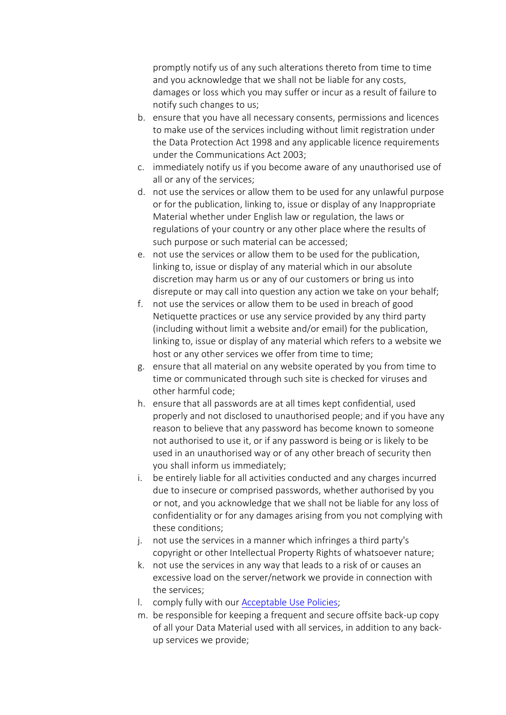promptly notify us of any such alterations thereto from time to time and you acknowledge that we shall not be liable for any costs, damages or loss which you may suffer or incur as a result of failure to notify such changes to us;

- b. ensure that you have all necessary consents, permissions and licences to make use of the services including without limit registration under the Data Protection Act 1998 and any applicable licence requirements under the Communications Act 2003;
- c. immediately notify us if you become aware of any unauthorised use of all or any of the services;
- d. not use the services or allow them to be used for any unlawful purpose or for the publication, linking to, issue or display of any Inappropriate Material whether under English law or regulation, the laws or regulations of your country or any other place where the results of such purpose or such material can be accessed;
- e. not use the services or allow them to be used for the publication, linking to, issue or display of any material which in our absolute discretion may harm us or any of our customers or bring us into disrepute or may call into question any action we take on your behalf;
- f. not use the services or allow them to be used in breach of good Netiquette practices or use any service provided by any third party (including without limit a website and/or email) for the publication, linking to, issue or display of any material which refers to a website we host or any other services we offer from time to time;
- g. ensure that all material on any website operated by you from time to time or communicated through such site is checked for viruses and other harmful code;
- h. ensure that all passwords are at all times kept confidential, used properly and not disclosed to unauthorised people; and if you have any reason to believe that any password has become known to someone not authorised to use it, or if any password is being or is likely to be used in an unauthorised way or of any other breach of security then you shall inform us immediately;
- i. be entirely liable for all activities conducted and any charges incurred due to insecure or comprised passwords, whether authorised by you or not, and you acknowledge that we shall not be liable for any loss of confidentiality or for any damages arising from you not complying with these conditions;
- j. not use the services in a manner which infringes a third party's copyright or other Intellectual Property Rights of whatsoever nature;
- k. not use the services in any way that leads to a risk of or causes an excessive load on the server/network we provide in connection with the services;
- l. comply fully with our Acceptable Use Policies;
- m. be responsible for keeping a frequent and secure offsite back-up copy of all your Data Material used with all services, in addition to any backup services we provide;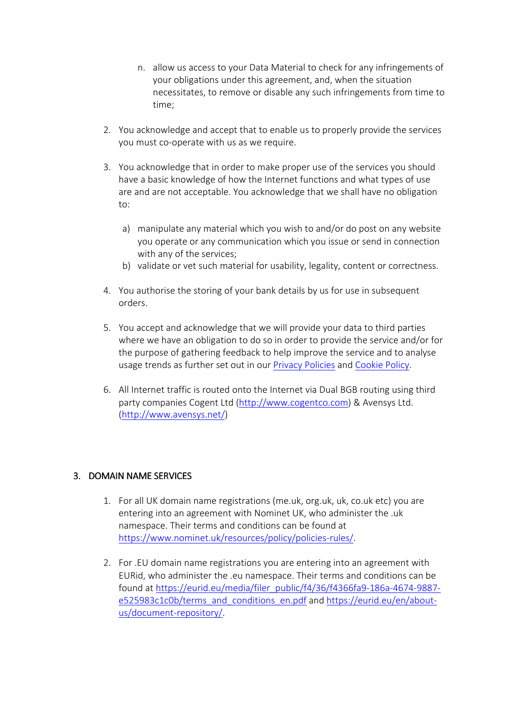- n. allow us access to your Data Material to check for any infringements of your obligations under this agreement, and, when the situation necessitates, to remove or disable any such infringements from time to time;
- 2. You acknowledge and accept that to enable us to properly provide the services you must co-operate with us as we require.
- 3. You acknowledge that in order to make proper use of the services you should have a basic knowledge of how the Internet functions and what types of use are and are not acceptable. You acknowledge that we shall have no obligation to:
	- a) manipulate any material which you wish to and/or do post on any website you operate or any communication which you issue or send in connection with any of the services;
	- b) validate or vet such material for usability, legality, content or correctness.
- 4. You authorise the storing of your bank details by us for use in subsequent orders.
- 5. You accept and acknowledge that we will provide your data to third parties where we have an obligation to do so in order to provide the service and/or for the purpose of gathering feedback to help improve the service and to analyse usage trends as further set out in our Privacy Policies and Cookie Policy.
- 6. All Internet traffic is routed onto the Internet via Dual BGB routing using third party companies Cogent Ltd (http://www.cogentco.com) & Avensys Ltd. (http://www.avensys.net/)

## 3. DOMAIN NAME SERVICES

- 1. For all UK domain name registrations (me.uk, org.uk, uk, co.uk etc) you are entering into an agreement with Nominet UK, who administer the .uk namespace. Their terms and conditions can be found at https://www.nominet.uk/resources/policy/policies-rules/.
- 2. For .EU domain name registrations you are entering into an agreement with EURid, who administer the .eu namespace. Their terms and conditions can be found at https://eurid.eu/media/filer\_public/f4/36/f4366fa9-186a-4674-9887 e525983c1c0b/terms\_and\_conditions\_en.pdf and https://eurid.eu/en/aboutus/document-repository/.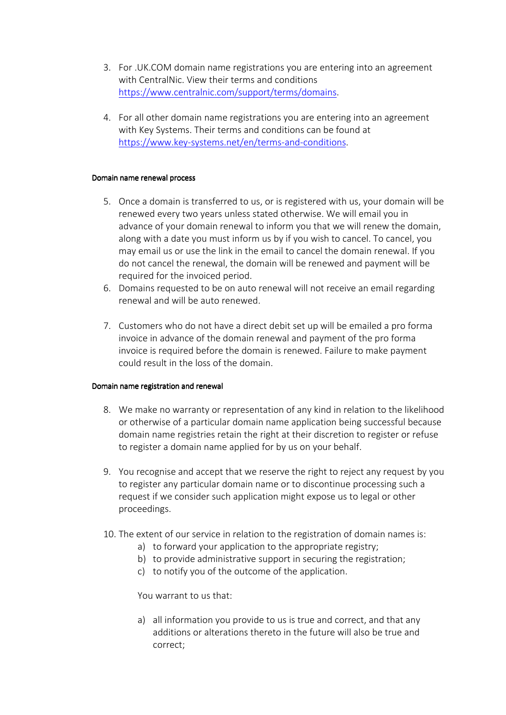- 3. For .UK.COM domain name registrations you are entering into an agreement with CentralNic. View their terms and conditions https://www.centralnic.com/support/terms/domains.
- 4. For all other domain name registrations you are entering into an agreement with Key Systems. Their terms and conditions can be found at https://www.key-systems.net/en/terms-and-conditions.

#### Domain name renewal process

- 5. Once a domain is transferred to us, or is registered with us, your domain will be renewed every two years unless stated otherwise. We will email you in advance of your domain renewal to inform you that we will renew the domain, along with a date you must inform us by if you wish to cancel. To cancel, you may email us or use the link in the email to cancel the domain renewal. If you do not cancel the renewal, the domain will be renewed and payment will be required for the invoiced period.
- 6. Domains requested to be on auto renewal will not receive an email regarding renewal and will be auto renewed.
- 7. Customers who do not have a direct debit set up will be emailed a pro forma invoice in advance of the domain renewal and payment of the pro forma invoice is required before the domain is renewed. Failure to make payment could result in the loss of the domain.

#### Domain name registration and renewal

- 8. We make no warranty or representation of any kind in relation to the likelihood or otherwise of a particular domain name application being successful because domain name registries retain the right at their discretion to register or refuse to register a domain name applied for by us on your behalf.
- 9. You recognise and accept that we reserve the right to reject any request by you to register any particular domain name or to discontinue processing such a request if we consider such application might expose us to legal or other proceedings.
- 10. The extent of our service in relation to the registration of domain names is:
	- a) to forward your application to the appropriate registry;
	- b) to provide administrative support in securing the registration;
	- c) to notify you of the outcome of the application.

You warrant to us that:

a) all information you provide to us is true and correct, and that any additions or alterations thereto in the future will also be true and correct;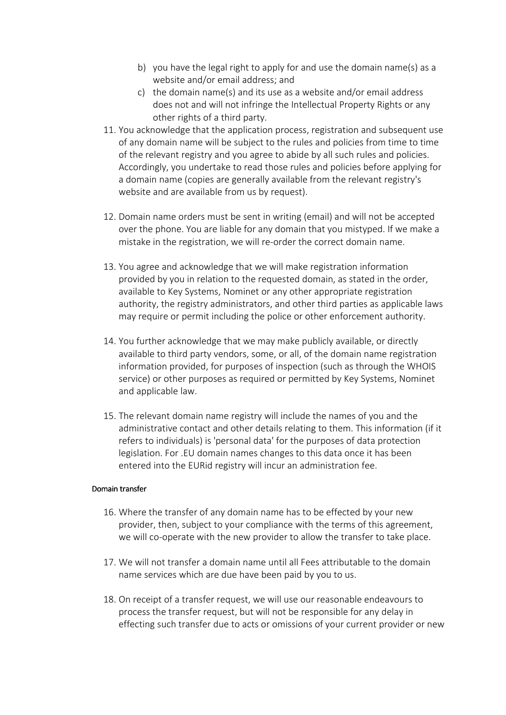- b) you have the legal right to apply for and use the domain name(s) as a website and/or email address; and
- c) the domain name(s) and its use as a website and/or email address does not and will not infringe the Intellectual Property Rights or any other rights of a third party.
- 11. You acknowledge that the application process, registration and subsequent use of any domain name will be subject to the rules and policies from time to time of the relevant registry and you agree to abide by all such rules and policies. Accordingly, you undertake to read those rules and policies before applying for a domain name (copies are generally available from the relevant registry's website and are available from us by request).
- 12. Domain name orders must be sent in writing (email) and will not be accepted over the phone. You are liable for any domain that you mistyped. If we make a mistake in the registration, we will re-order the correct domain name.
- 13. You agree and acknowledge that we will make registration information provided by you in relation to the requested domain, as stated in the order, available to Key Systems, Nominet or any other appropriate registration authority, the registry administrators, and other third parties as applicable laws may require or permit including the police or other enforcement authority.
- 14. You further acknowledge that we may make publicly available, or directly available to third party vendors, some, or all, of the domain name registration information provided, for purposes of inspection (such as through the WHOIS service) or other purposes as required or permitted by Key Systems, Nominet and applicable law.
- 15. The relevant domain name registry will include the names of you and the administrative contact and other details relating to them. This information (if it refers to individuals) is 'personal data' for the purposes of data protection legislation. For .EU domain names changes to this data once it has been entered into the EURid registry will incur an administration fee.

## Domain transfer

- 16. Where the transfer of any domain name has to be effected by your new provider, then, subject to your compliance with the terms of this agreement, we will co-operate with the new provider to allow the transfer to take place.
- 17. We will not transfer a domain name until all Fees attributable to the domain name services which are due have been paid by you to us.
- 18. On receipt of a transfer request, we will use our reasonable endeavours to process the transfer request, but will not be responsible for any delay in effecting such transfer due to acts or omissions of your current provider or new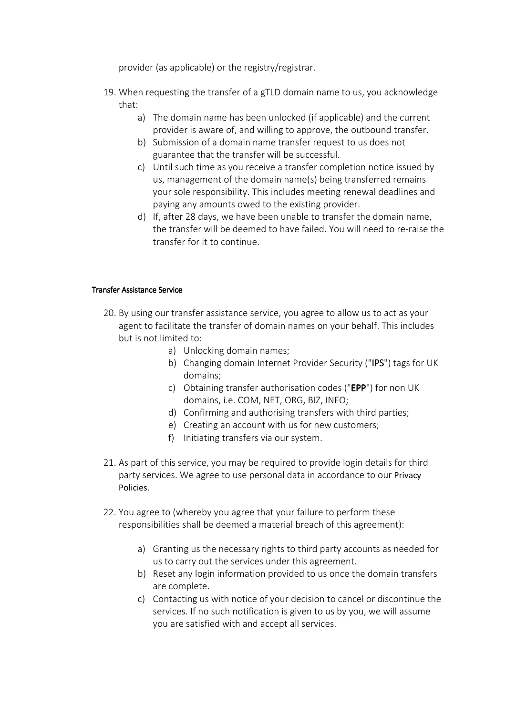provider (as applicable) or the registry/registrar.

- 19. When requesting the transfer of a gTLD domain name to us, you acknowledge that:
	- a) The domain name has been unlocked (if applicable) and the current provider is aware of, and willing to approve, the outbound transfer.
	- b) Submission of a domain name transfer request to us does not guarantee that the transfer will be successful.
	- c) Until such time as you receive a transfer completion notice issued by us, management of the domain name(s) being transferred remains your sole responsibility. This includes meeting renewal deadlines and paying any amounts owed to the existing provider.
	- d) If, after 28 days, we have been unable to transfer the domain name, the transfer will be deemed to have failed. You will need to re-raise the transfer for it to continue.

## Transfer Assistance Service

- 20. By using our transfer assistance service, you agree to allow us to act as your agent to facilitate the transfer of domain names on your behalf. This includes but is not limited to:
	- a) Unlocking domain names;
	- b) Changing domain Internet Provider Security ("IPS") tags for UK domains;
	- c) Obtaining transfer authorisation codes ("EPP") for non UK domains, i.e. COM, NET, ORG, BIZ, INFO;
	- d) Confirming and authorising transfers with third parties;
	- e) Creating an account with us for new customers;
	- f) Initiating transfers via our system.
- 21. As part of this service, you may be required to provide login details for third party services. We agree to use personal data in accordance to our Privacy Policies.
- 22. You agree to (whereby you agree that your failure to perform these responsibilities shall be deemed a material breach of this agreement):
	- a) Granting us the necessary rights to third party accounts as needed for us to carry out the services under this agreement.
	- b) Reset any login information provided to us once the domain transfers are complete.
	- c) Contacting us with notice of your decision to cancel or discontinue the services. If no such notification is given to us by you, we will assume you are satisfied with and accept all services.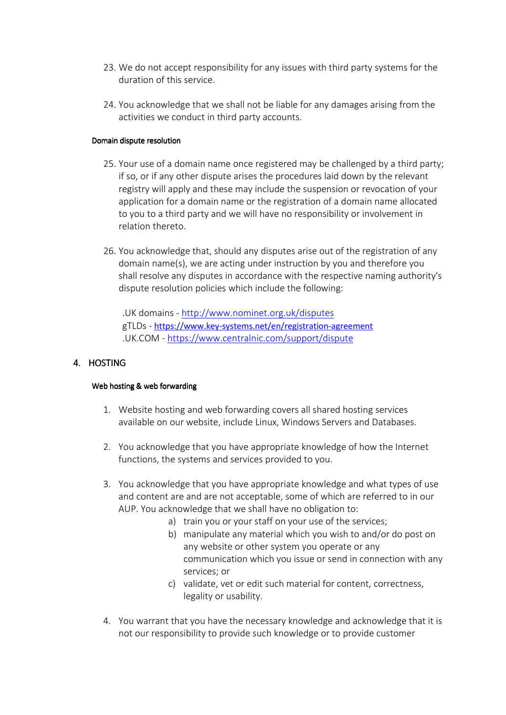- 23. We do not accept responsibility for any issues with third party systems for the duration of this service.
- 24. You acknowledge that we shall not be liable for any damages arising from the activities we conduct in third party accounts.

## Domain dispute resolution

- 25. Your use of a domain name once registered may be challenged by a third party; if so, or if any other dispute arises the procedures laid down by the relevant registry will apply and these may include the suspension or revocation of your application for a domain name or the registration of a domain name allocated to you to a third party and we will have no responsibility or involvement in relation thereto.
- 26. You acknowledge that, should any disputes arise out of the registration of any domain name(s), we are acting under instruction by you and therefore you shall resolve any disputes in accordance with the respective naming authority's dispute resolution policies which include the following:

.UK domains - http://www.nominet.org.uk/disputes gTLDs - https://www.key-systems.net/en/registration-agreement .UK.COM - https://www.centralnic.com/support/dispute

# 4. HOSTING

## Web hosting & web forwarding

- 1. Website hosting and web forwarding covers all shared hosting services available on our website, include Linux, Windows Servers and Databases.
- 2. You acknowledge that you have appropriate knowledge of how the Internet functions, the systems and services provided to you.
- 3. You acknowledge that you have appropriate knowledge and what types of use and content are and are not acceptable, some of which are referred to in our AUP. You acknowledge that we shall have no obligation to:
	- a) train you or your staff on your use of the services;
	- b) manipulate any material which you wish to and/or do post on any website or other system you operate or any communication which you issue or send in connection with any services; or
	- c) validate, vet or edit such material for content, correctness, legality or usability.
- 4. You warrant that you have the necessary knowledge and acknowledge that it is not our responsibility to provide such knowledge or to provide customer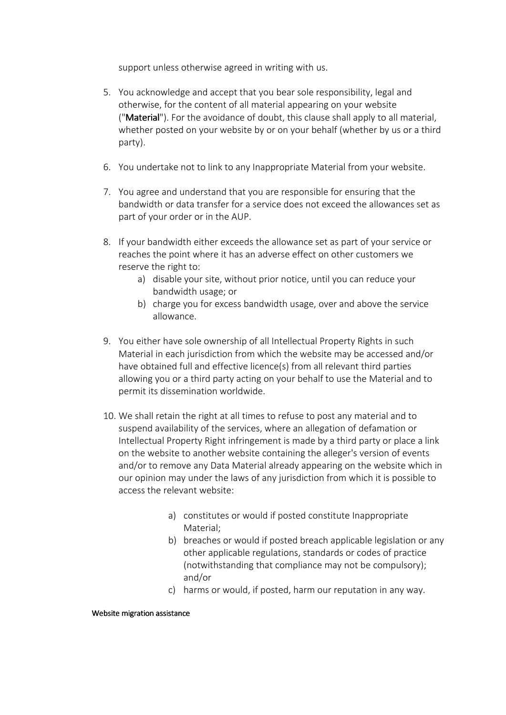support unless otherwise agreed in writing with us.

- 5. You acknowledge and accept that you bear sole responsibility, legal and otherwise, for the content of all material appearing on your website ("Material"). For the avoidance of doubt, this clause shall apply to all material, whether posted on your website by or on your behalf (whether by us or a third party).
- 6. You undertake not to link to any Inappropriate Material from your website.
- 7. You agree and understand that you are responsible for ensuring that the bandwidth or data transfer for a service does not exceed the allowances set as part of your order or in the AUP.
- 8. If your bandwidth either exceeds the allowance set as part of your service or reaches the point where it has an adverse effect on other customers we reserve the right to:
	- a) disable your site, without prior notice, until you can reduce your bandwidth usage; or
	- b) charge you for excess bandwidth usage, over and above the service allowance.
- 9. You either have sole ownership of all Intellectual Property Rights in such Material in each jurisdiction from which the website may be accessed and/or have obtained full and effective licence(s) from all relevant third parties allowing you or a third party acting on your behalf to use the Material and to permit its dissemination worldwide.
- 10. We shall retain the right at all times to refuse to post any material and to suspend availability of the services, where an allegation of defamation or Intellectual Property Right infringement is made by a third party or place a link on the website to another website containing the alleger's version of events and/or to remove any Data Material already appearing on the website which in our opinion may under the laws of any jurisdiction from which it is possible to access the relevant website:
	- a) constitutes or would if posted constitute Inappropriate Material;
	- b) breaches or would if posted breach applicable legislation or any other applicable regulations, standards or codes of practice (notwithstanding that compliance may not be compulsory); and/or
	- c) harms or would, if posted, harm our reputation in any way.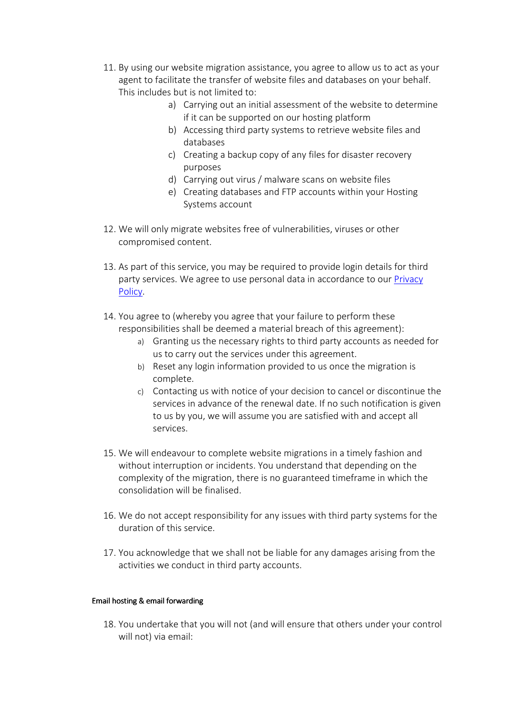- 11. By using our website migration assistance, you agree to allow us to act as your agent to facilitate the transfer of website files and databases on your behalf. This includes but is not limited to:
	- a) Carrying out an initial assessment of the website to determine if it can be supported on our hosting platform
	- b) Accessing third party systems to retrieve website files and databases
	- c) Creating a backup copy of any files for disaster recovery purposes
	- d) Carrying out virus / malware scans on website files
	- e) Creating databases and FTP accounts within your Hosting Systems account
- 12. We will only migrate websites free of vulnerabilities, viruses or other compromised content.
- 13. As part of this service, you may be required to provide login details for third party services. We agree to use personal data in accordance to our Privacy Policy.
- 14. You agree to (whereby you agree that your failure to perform these responsibilities shall be deemed a material breach of this agreement):
	- a) Granting us the necessary rights to third party accounts as needed for us to carry out the services under this agreement.
	- b) Reset any login information provided to us once the migration is complete.
	- c) Contacting us with notice of your decision to cancel or discontinue the services in advance of the renewal date. If no such notification is given to us by you, we will assume you are satisfied with and accept all services.
- 15. We will endeavour to complete website migrations in a timely fashion and without interruption or incidents. You understand that depending on the complexity of the migration, there is no guaranteed timeframe in which the consolidation will be finalised.
- 16. We do not accept responsibility for any issues with third party systems for the duration of this service.
- 17. You acknowledge that we shall not be liable for any damages arising from the activities we conduct in third party accounts.

## Email hosting & email forwarding

18. You undertake that you will not (and will ensure that others under your control will not) via email: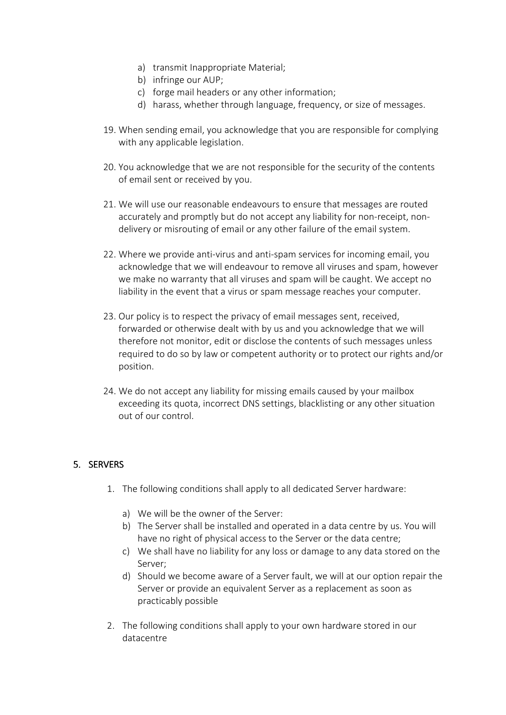- a) transmit Inappropriate Material;
- b) infringe our AUP;
- c) forge mail headers or any other information;
- d) harass, whether through language, frequency, or size of messages.
- 19. When sending email, you acknowledge that you are responsible for complying with any applicable legislation.
- 20. You acknowledge that we are not responsible for the security of the contents of email sent or received by you.
- 21. We will use our reasonable endeavours to ensure that messages are routed accurately and promptly but do not accept any liability for non-receipt, nondelivery or misrouting of email or any other failure of the email system.
- 22. Where we provide anti-virus and anti-spam services for incoming email, you acknowledge that we will endeavour to remove all viruses and spam, however we make no warranty that all viruses and spam will be caught. We accept no liability in the event that a virus or spam message reaches your computer.
- 23. Our policy is to respect the privacy of email messages sent, received, forwarded or otherwise dealt with by us and you acknowledge that we will therefore not monitor, edit or disclose the contents of such messages unless required to do so by law or competent authority or to protect our rights and/or position.
- 24. We do not accept any liability for missing emails caused by your mailbox exceeding its quota, incorrect DNS settings, blacklisting or any other situation out of our control.

# 5. SERVERS

- 1. The following conditions shall apply to all dedicated Server hardware:
	- a) We will be the owner of the Server:
	- b) The Server shall be installed and operated in a data centre by us. You will have no right of physical access to the Server or the data centre;
	- c) We shall have no liability for any loss or damage to any data stored on the Server;
	- d) Should we become aware of a Server fault, we will at our option repair the Server or provide an equivalent Server as a replacement as soon as practicably possible
- 2. The following conditions shall apply to your own hardware stored in our datacentre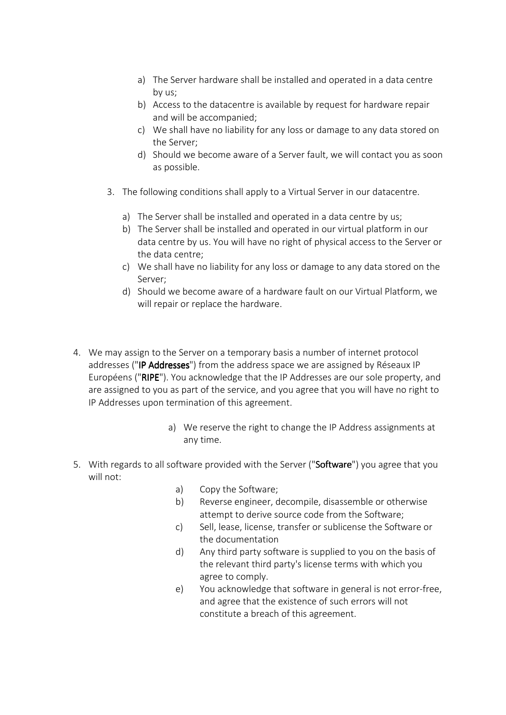- a) The Server hardware shall be installed and operated in a data centre by us;
- b) Access to the datacentre is available by request for hardware repair and will be accompanied;
- c) We shall have no liability for any loss or damage to any data stored on the Server;
- d) Should we become aware of a Server fault, we will contact you as soon as possible.
- 3. The following conditions shall apply to a Virtual Server in our datacentre.
	- a) The Server shall be installed and operated in a data centre by us;
	- b) The Server shall be installed and operated in our virtual platform in our data centre by us. You will have no right of physical access to the Server or the data centre;
	- c) We shall have no liability for any loss or damage to any data stored on the Server;
	- d) Should we become aware of a hardware fault on our Virtual Platform, we will repair or replace the hardware.
- 4. We may assign to the Server on a temporary basis a number of internet protocol addresses ("IP Addresses") from the address space we are assigned by Réseaux IP Européens ("RIPE"). You acknowledge that the IP Addresses are our sole property, and are assigned to you as part of the service, and you agree that you will have no right to IP Addresses upon termination of this agreement.
	- a) We reserve the right to change the IP Address assignments at any time.
- 5. With regards to all software provided with the Server ("Software") you agree that you will not:
	- a) Copy the Software;
	- b) Reverse engineer, decompile, disassemble or otherwise attempt to derive source code from the Software;
	- c) Sell, lease, license, transfer or sublicense the Software or the documentation
	- d) Any third party software is supplied to you on the basis of the relevant third party's license terms with which you agree to comply.
	- e) You acknowledge that software in general is not error-free, and agree that the existence of such errors will not constitute a breach of this agreement.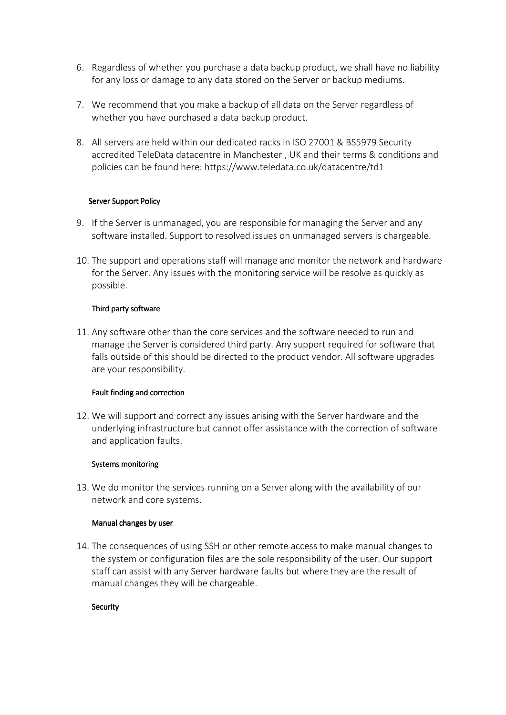- 6. Regardless of whether you purchase a data backup product, we shall have no liability for any loss or damage to any data stored on the Server or backup mediums.
- 7. We recommend that you make a backup of all data on the Server regardless of whether you have purchased a data backup product.
- 8. All servers are held within our dedicated racks in ISO 27001 & BS5979 Security accredited TeleData datacentre in Manchester , UK and their terms & conditions and policies can be found here: https://www.teledata.co.uk/datacentre/td1

## Server Support Policy

- 9. If the Server is unmanaged, you are responsible for managing the Server and any software installed. Support to resolved issues on unmanaged servers is chargeable.
- 10. The support and operations staff will manage and monitor the network and hardware for the Server. Any issues with the monitoring service will be resolve as quickly as possible.

## Third party software

11. Any software other than the core services and the software needed to run and manage the Server is considered third party. Any support required for software that falls outside of this should be directed to the product vendor. All software upgrades are your responsibility.

## Fault finding and correction

12. We will support and correct any issues arising with the Server hardware and the underlying infrastructure but cannot offer assistance with the correction of software and application faults.

#### Systems monitoring

13. We do monitor the services running on a Server along with the availability of our network and core systems.

#### Manual changes by user

14. The consequences of using SSH or other remote access to make manual changes to the system or configuration files are the sole responsibility of the user. Our support staff can assist with any Server hardware faults but where they are the result of manual changes they will be chargeable.

## Security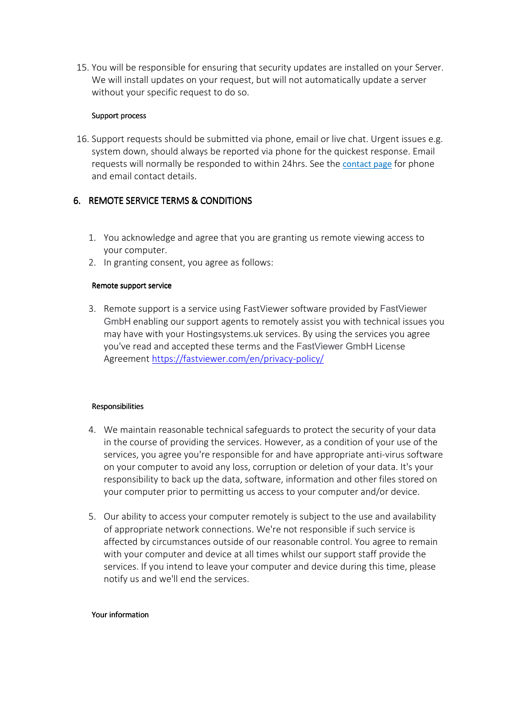15. You will be responsible for ensuring that security updates are installed on your Server. We will install updates on your request, but will not automatically update a server without your specific request to do so.

## Support process

16. Support requests should be submitted via phone, email or live chat. Urgent issues e.g. system down, should always be reported via phone for the quickest response. Email requests will normally be responded to within 24hrs. See the contact page for phone and email contact details.

# 6. REMOTE SERVICE TERMS & CONDITIONS

- 1. You acknowledge and agree that you are granting us remote viewing access to your computer.
- 2. In granting consent, you agree as follows:

## Remote support service

3. Remote support is a service using FastViewer software provided by FastViewer GmbH enabling our support agents to remotely assist you with technical issues you may have with your Hostingsystems.uk services. By using the services you agree you've read and accepted these terms and the FastViewer GmbH License Agreement https://fastviewer.com/en/privacy-policy/

## Responsibilities

- 4. We maintain reasonable technical safeguards to protect the security of your data in the course of providing the services. However, as a condition of your use of the services, you agree you're responsible for and have appropriate anti-virus software on your computer to avoid any loss, corruption or deletion of your data. It's your responsibility to back up the data, software, information and other files stored on your computer prior to permitting us access to your computer and/or device.
- 5. Our ability to access your computer remotely is subject to the use and availability of appropriate network connections. We're not responsible if such service is affected by circumstances outside of our reasonable control. You agree to remain with your computer and device at all times whilst our support staff provide the services. If you intend to leave your computer and device during this time, please notify us and we'll end the services.

#### Your information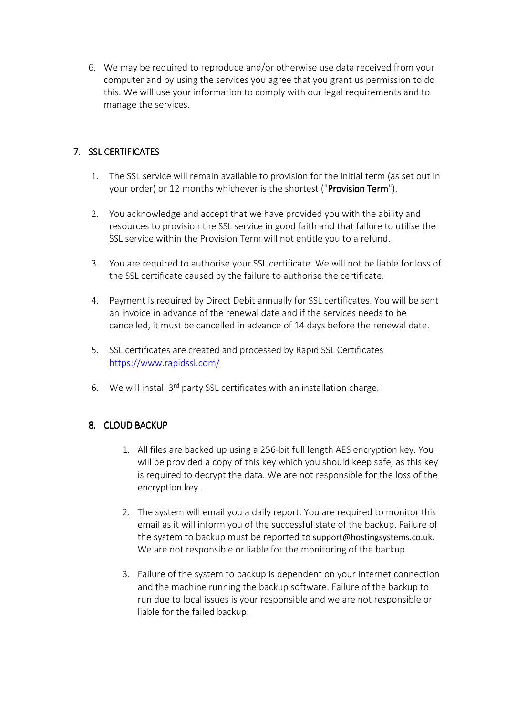6. We may be required to reproduce and/or otherwise use data received from your computer and by using the services you agree that you grant us permission to do this. We will use your information to comply with our legal requirements and to manage the services.

# 7. SSL CERTIFICATES

- 1. The SSL service will remain available to provision for the initial term (as set out in your order) or 12 months whichever is the shortest ("**Provision Term**").
- 2. You acknowledge and accept that we have provided you with the ability and resources to provision the SSL service in good faith and that failure to utilise the SSL service within the Provision Term will not entitle you to a refund.
- 3. You are required to authorise your SSL certificate. We will not be liable for loss of the SSL certificate caused by the failure to authorise the certificate.
- 4. Payment is required by Direct Debit annually for SSL certificates. You will be sent an invoice in advance of the renewal date and if the services needs to be cancelled, it must be cancelled in advance of 14 days before the renewal date.
- 5. SSL certificates are created and processed by Rapid SSL Certificates https://www.rapidssl.com/
- 6. We will install 3<sup>rd</sup> party SSL certificates with an installation charge.

# 8. CLOUD BACKUP

- 1. All files are backed up using a 256-bit full length AES encryption key. You will be provided a copy of this key which you should keep safe, as this key is required to decrypt the data. We are not responsible for the loss of the encryption key.
- 2. The system will email you a daily report. You are required to monitor this email as it will inform you of the successful state of the backup. Failure of the system to backup must be reported to support@hostingsystems.co.uk. We are not responsible or liable for the monitoring of the backup.
- 3. Failure of the system to backup is dependent on your Internet connection and the machine running the backup software. Failure of the backup to run due to local issues is your responsible and we are not responsible or liable for the failed backup.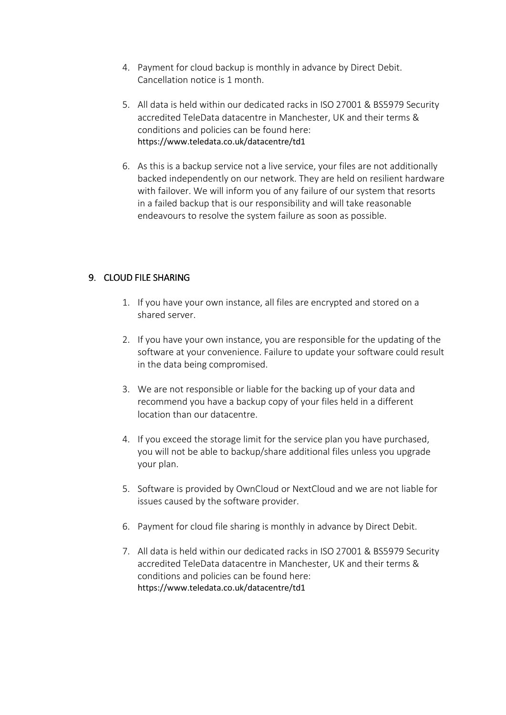- 4. Payment for cloud backup is monthly in advance by Direct Debit. Cancellation notice is 1 month.
- 5. All data is held within our dedicated racks in ISO 27001 & BS5979 Security accredited TeleData datacentre in Manchester, UK and their terms & conditions and policies can be found here: https://www.teledata.co.uk/datacentre/td1
- 6. As this is a backup service not a live service, your files are not additionally backed independently on our network. They are held on resilient hardware with failover. We will inform you of any failure of our system that resorts in a failed backup that is our responsibility and will take reasonable endeavours to resolve the system failure as soon as possible.

# 9. CLOUD FILE SHARING

- 1. If you have your own instance, all files are encrypted and stored on a shared server.
- 2. If you have your own instance, you are responsible for the updating of the software at your convenience. Failure to update your software could result in the data being compromised.
- 3. We are not responsible or liable for the backing up of your data and recommend you have a backup copy of your files held in a different location than our datacentre.
- 4. If you exceed the storage limit for the service plan you have purchased, you will not be able to backup/share additional files unless you upgrade your plan.
- 5. Software is provided by OwnCloud or NextCloud and we are not liable for issues caused by the software provider.
- 6. Payment for cloud file sharing is monthly in advance by Direct Debit.
- 7. All data is held within our dedicated racks in ISO 27001 & BS5979 Security accredited TeleData datacentre in Manchester, UK and their terms & conditions and policies can be found here: https://www.teledata.co.uk/datacentre/td1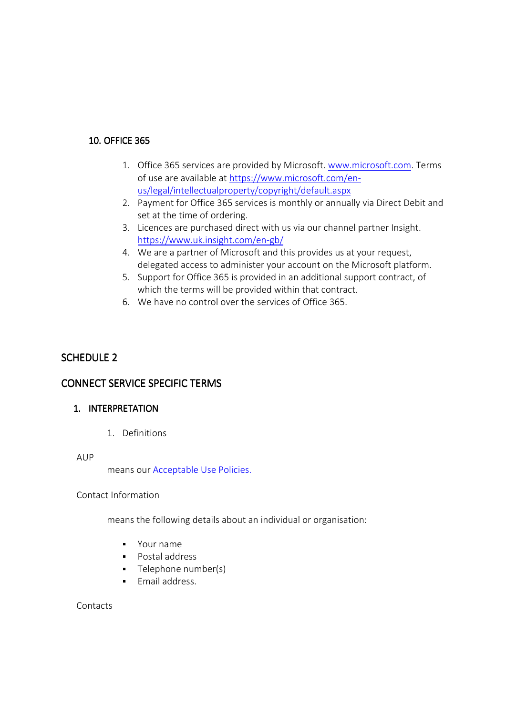## 10. OFFICE 365

- 1. Office 365 services are provided by Microsoft. www.microsoft.com. Terms of use are available at https://www.microsoft.com/enus/legal/intellectualproperty/copyright/default.aspx
- 2. Payment for Office 365 services is monthly or annually via Direct Debit and set at the time of ordering.
- 3. Licences are purchased direct with us via our channel partner Insight. https://www.uk.insight.com/en-gb/
- 4. We are a partner of Microsoft and this provides us at your request, delegated access to administer your account on the Microsoft platform.
- 5. Support for Office 365 is provided in an additional support contract, of which the terms will be provided within that contract.
- 6. We have no control over the services of Office 365.

# SCHEDULE 2

# CONNECT SERVICE SPECIFIC TERMS

## 1. INTERPRETATION

1. Definitions

#### AUP

means our Acceptable Use Policies.

## Contact Information

means the following details about an individual or organisation:

- Your name
- **Postal address**
- Telephone number(s)
- **Fmail address.**

Contacts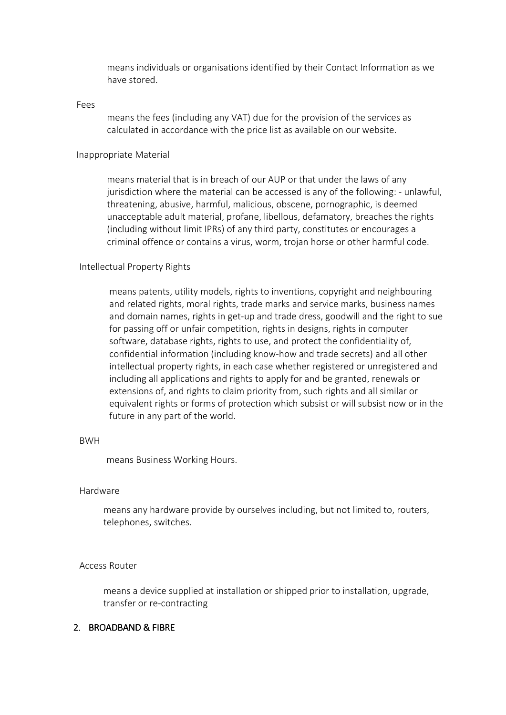means individuals or organisations identified by their Contact Information as we have stored.

#### Fees

means the fees (including any VAT) due for the provision of the services as calculated in accordance with the price list as available on our website.

#### Inappropriate Material

means material that is in breach of our AUP or that under the laws of any jurisdiction where the material can be accessed is any of the following: - unlawful, threatening, abusive, harmful, malicious, obscene, pornographic, is deemed unacceptable adult material, profane, libellous, defamatory, breaches the rights (including without limit IPRs) of any third party, constitutes or encourages a criminal offence or contains a virus, worm, trojan horse or other harmful code.

#### Intellectual Property Rights

means patents, utility models, rights to inventions, copyright and neighbouring and related rights, moral rights, trade marks and service marks, business names and domain names, rights in get-up and trade dress, goodwill and the right to sue for passing off or unfair competition, rights in designs, rights in computer software, database rights, rights to use, and protect the confidentiality of, confidential information (including know-how and trade secrets) and all other intellectual property rights, in each case whether registered or unregistered and including all applications and rights to apply for and be granted, renewals or extensions of, and rights to claim priority from, such rights and all similar or equivalent rights or forms of protection which subsist or will subsist now or in the future in any part of the world.

#### BWH

means Business Working Hours.

#### Hardware

means any hardware provide by ourselves including, but not limited to, routers, telephones, switches.

#### Access Router

means a device supplied at installation or shipped prior to installation, upgrade, transfer or re-contracting

## 2. BROADBAND & FIBRE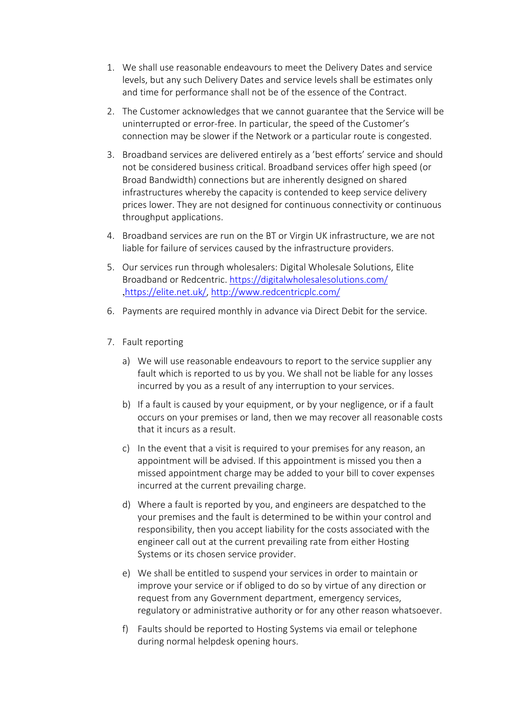- 1. We shall use reasonable endeavours to meet the Delivery Dates and service levels, but any such Delivery Dates and service levels shall be estimates only and time for performance shall not be of the essence of the Contract.
- 2. The Customer acknowledges that we cannot guarantee that the Service will be uninterrupted or error-free. In particular, the speed of the Customer's connection may be slower if the Network or a particular route is congested.
- 3. Broadband services are delivered entirely as a 'best efforts' service and should not be considered business critical. Broadband services offer high speed (or Broad Bandwidth) connections but are inherently designed on shared infrastructures whereby the capacity is contended to keep service delivery prices lower. They are not designed for continuous connectivity or continuous throughput applications.
- 4. Broadband services are run on the BT or Virgin UK infrastructure, we are not liable for failure of services caused by the infrastructure providers.
- 5. Our services run through wholesalers: Digital Wholesale Solutions, Elite Broadband or Redcentric. https://digitalwholesalesolutions.com/ ,https://elite.net.uk/, http://www.redcentricplc.com/
- 6. Payments are required monthly in advance via Direct Debit for the service.
- 7. Fault reporting
	- a) We will use reasonable endeavours to report to the service supplier any fault which is reported to us by you. We shall not be liable for any losses incurred by you as a result of any interruption to your services.
	- b) If a fault is caused by your equipment, or by your negligence, or if a fault occurs on your premises or land, then we may recover all reasonable costs that it incurs as a result.
	- c) In the event that a visit is required to your premises for any reason, an appointment will be advised. If this appointment is missed you then a missed appointment charge may be added to your bill to cover expenses incurred at the current prevailing charge.
	- d) Where a fault is reported by you, and engineers are despatched to the your premises and the fault is determined to be within your control and responsibility, then you accept liability for the costs associated with the engineer call out at the current prevailing rate from either Hosting Systems or its chosen service provider.
	- e) We shall be entitled to suspend your services in order to maintain or improve your service or if obliged to do so by virtue of any direction or request from any Government department, emergency services, regulatory or administrative authority or for any other reason whatsoever.
	- f) Faults should be reported to Hosting Systems via email or telephone during normal helpdesk opening hours.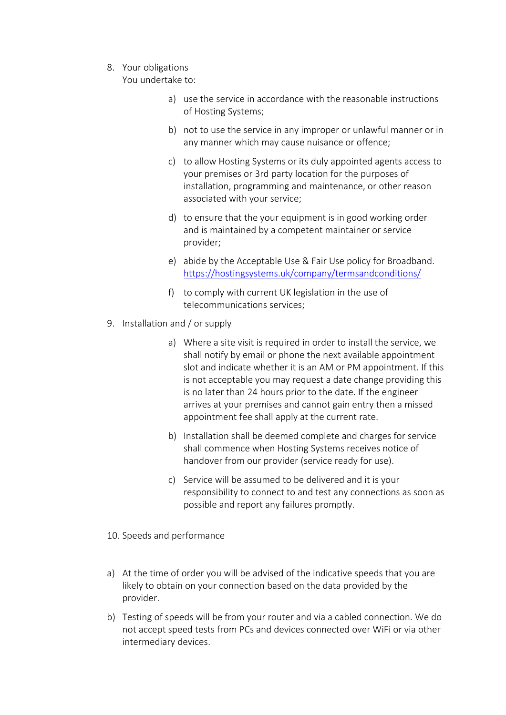8. Your obligations

You undertake to:

- a) use the service in accordance with the reasonable instructions of Hosting Systems;
- b) not to use the service in any improper or unlawful manner or in any manner which may cause nuisance or offence;
- c) to allow Hosting Systems or its duly appointed agents access to your premises or 3rd party location for the purposes of installation, programming and maintenance, or other reason associated with your service;
- d) to ensure that the your equipment is in good working order and is maintained by a competent maintainer or service provider;
- e) abide by the Acceptable Use & Fair Use policy for Broadband. https://hostingsystems.uk/company/termsandconditions/
- f) to comply with current UK legislation in the use of telecommunications services;
- 9. Installation and / or supply
	- a) Where a site visit is required in order to install the service, we shall notify by email or phone the next available appointment slot and indicate whether it is an AM or PM appointment. If this is not acceptable you may request a date change providing this is no later than 24 hours prior to the date. If the engineer arrives at your premises and cannot gain entry then a missed appointment fee shall apply at the current rate.
	- b) Installation shall be deemed complete and charges for service shall commence when Hosting Systems receives notice of handover from our provider (service ready for use).
	- c) Service will be assumed to be delivered and it is your responsibility to connect to and test any connections as soon as possible and report any failures promptly.
- 10. Speeds and performance
- a) At the time of order you will be advised of the indicative speeds that you are likely to obtain on your connection based on the data provided by the provider.
- b) Testing of speeds will be from your router and via a cabled connection. We do not accept speed tests from PCs and devices connected over WiFi or via other intermediary devices.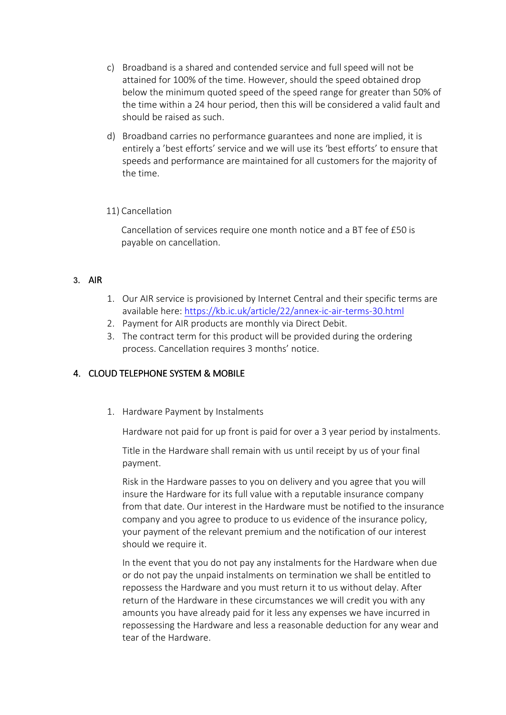- c) Broadband is a shared and contended service and full speed will not be attained for 100% of the time. However, should the speed obtained drop below the minimum quoted speed of the speed range for greater than 50% of the time within a 24 hour period, then this will be considered a valid fault and should be raised as such.
- d) Broadband carries no performance guarantees and none are implied, it is entirely a 'best efforts' service and we will use its 'best efforts' to ensure that speeds and performance are maintained for all customers for the majority of the time.

# 11) Cancellation

Cancellation of services require one month notice and a BT fee of £50 is payable on cancellation.

# **3.** AIR

- 1. Our AIR service is provisioned by Internet Central and their specific terms are available here: https://kb.ic.uk/article/22/annex-ic-air-terms-30.html
- 2. Payment for AIR products are monthly via Direct Debit.
- 3. The contract term for this product will be provided during the ordering process. Cancellation requires 3 months' notice.

# 4. CLOUD TELEPHONE SYSTEM & MOBILE

1. Hardware Payment by Instalments

Hardware not paid for up front is paid for over a 3 year period by instalments.

Title in the Hardware shall remain with us until receipt by us of your final payment.

Risk in the Hardware passes to you on delivery and you agree that you will insure the Hardware for its full value with a reputable insurance company from that date. Our interest in the Hardware must be notified to the insurance company and you agree to produce to us evidence of the insurance policy, your payment of the relevant premium and the notification of our interest should we require it.

In the event that you do not pay any instalments for the Hardware when due or do not pay the unpaid instalments on termination we shall be entitled to repossess the Hardware and you must return it to us without delay. After return of the Hardware in these circumstances we will credit you with any amounts you have already paid for it less any expenses we have incurred in repossessing the Hardware and less a reasonable deduction for any wear and tear of the Hardware.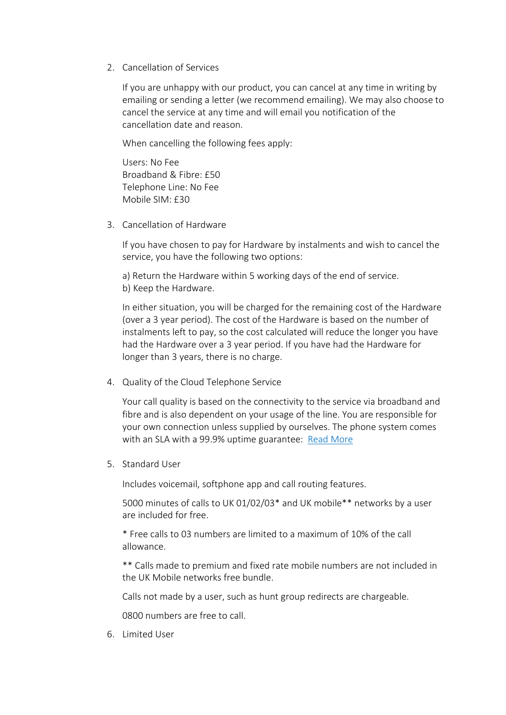2. Cancellation of Services

If you are unhappy with our product, you can cancel at any time in writing by emailing or sending a letter (we recommend emailing). We may also choose to cancel the service at any time and will email you notification of the cancellation date and reason.

When cancelling the following fees apply:

Users: No Fee Broadband & Fibre: £50 Telephone Line: No Fee Mobile SIM: £30

3. Cancellation of Hardware

If you have chosen to pay for Hardware by instalments and wish to cancel the service, you have the following two options:

a) Return the Hardware within 5 working days of the end of service. b) Keep the Hardware.

In either situation, you will be charged for the remaining cost of the Hardware (over a 3 year period). The cost of the Hardware is based on the number of instalments left to pay, so the cost calculated will reduce the longer you have had the Hardware over a 3 year period. If you have had the Hardware for longer than 3 years, there is no charge.

4. Quality of the Cloud Telephone Service

Your call quality is based on the connectivity to the service via broadband and fibre and is also dependent on your usage of the line. You are responsible for your own connection unless supplied by ourselves. The phone system comes with an SLA with a 99.9% uptime guarantee: Read More

5. Standard User

Includes voicemail, softphone app and call routing features.

5000 minutes of calls to UK 01/02/03\* and UK mobile\*\* networks by a user are included for free.

\* Free calls to 03 numbers are limited to a maximum of 10% of the call allowance.

\*\* Calls made to premium and fixed rate mobile numbers are not included in the UK Mobile networks free bundle.

Calls not made by a user, such as hunt group redirects are chargeable.

0800 numbers are free to call.

6. Limited User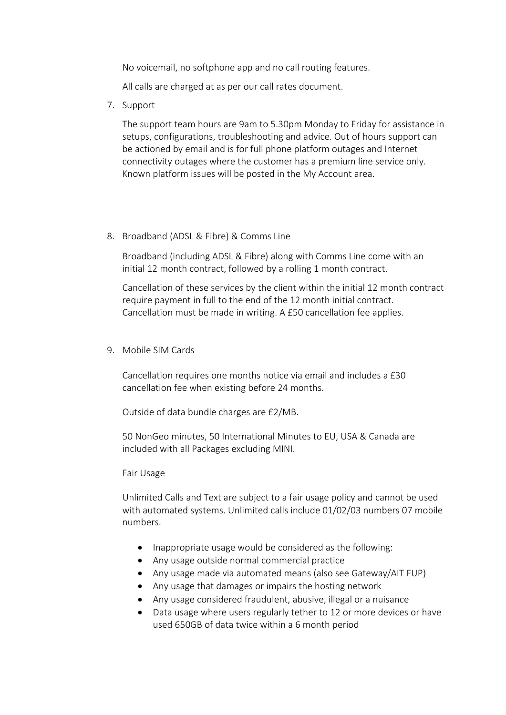No voicemail, no softphone app and no call routing features.

All calls are charged at as per our call rates document.

7. Support

The support team hours are 9am to 5.30pm Monday to Friday for assistance in setups, configurations, troubleshooting and advice. Out of hours support can be actioned by email and is for full phone platform outages and Internet connectivity outages where the customer has a premium line service only. Known platform issues will be posted in the My Account area.

8. Broadband (ADSL & Fibre) & Comms Line

Broadband (including ADSL & Fibre) along with Comms Line come with an initial 12 month contract, followed by a rolling 1 month contract.

Cancellation of these services by the client within the initial 12 month contract require payment in full to the end of the 12 month initial contract. Cancellation must be made in writing. A £50 cancellation fee applies.

9. Mobile SIM Cards

Cancellation requires one months notice via email and includes a £30 cancellation fee when existing before 24 months.

Outside of data bundle charges are £2/MB.

50 NonGeo minutes, 50 International Minutes to EU, USA & Canada are included with all Packages excluding MINI.

Fair Usage

Unlimited Calls and Text are subject to a fair usage policy and cannot be used with automated systems. Unlimited calls include 01/02/03 numbers 07 mobile numbers.

- Inappropriate usage would be considered as the following:
- Any usage outside normal commercial practice
- Any usage made via automated means (also see Gateway/AIT FUP)
- Any usage that damages or impairs the hosting network
- Any usage considered fraudulent, abusive, illegal or a nuisance
- Data usage where users regularly tether to 12 or more devices or have used 650GB of data twice within a 6 month period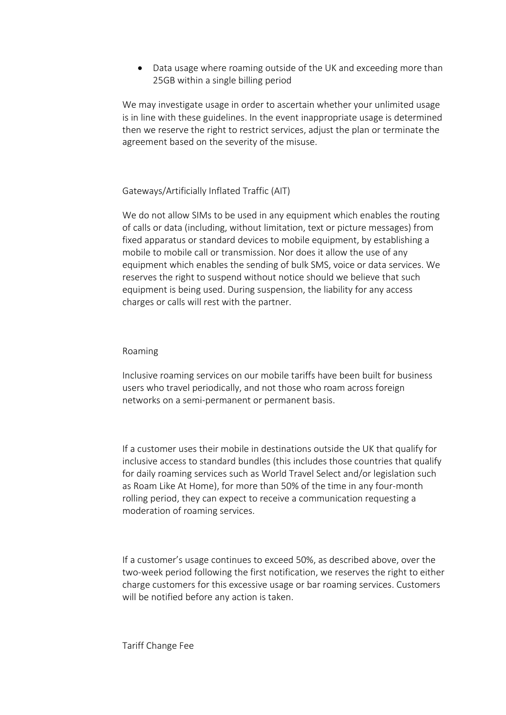Data usage where roaming outside of the UK and exceeding more than 25GB within a single billing period

We may investigate usage in order to ascertain whether your unlimited usage is in line with these guidelines. In the event inappropriate usage is determined then we reserve the right to restrict services, adjust the plan or terminate the agreement based on the severity of the misuse.

# Gateways/Artificially Inflated Traffic (AIT)

We do not allow SIMs to be used in any equipment which enables the routing of calls or data (including, without limitation, text or picture messages) from fixed apparatus or standard devices to mobile equipment, by establishing a mobile to mobile call or transmission. Nor does it allow the use of any equipment which enables the sending of bulk SMS, voice or data services. We reserves the right to suspend without notice should we believe that such equipment is being used. During suspension, the liability for any access charges or calls will rest with the partner.

# Roaming

Inclusive roaming services on our mobile tariffs have been built for business users who travel periodically, and not those who roam across foreign networks on a semi-permanent or permanent basis.

If a customer uses their mobile in destinations outside the UK that qualify for inclusive access to standard bundles (this includes those countries that qualify for daily roaming services such as World Travel Select and/or legislation such as Roam Like At Home), for more than 50% of the time in any four-month rolling period, they can expect to receive a communication requesting a moderation of roaming services.

If a customer's usage continues to exceed 50%, as described above, over the two-week period following the first notification, we reserves the right to either charge customers for this excessive usage or bar roaming services. Customers will be notified before any action is taken.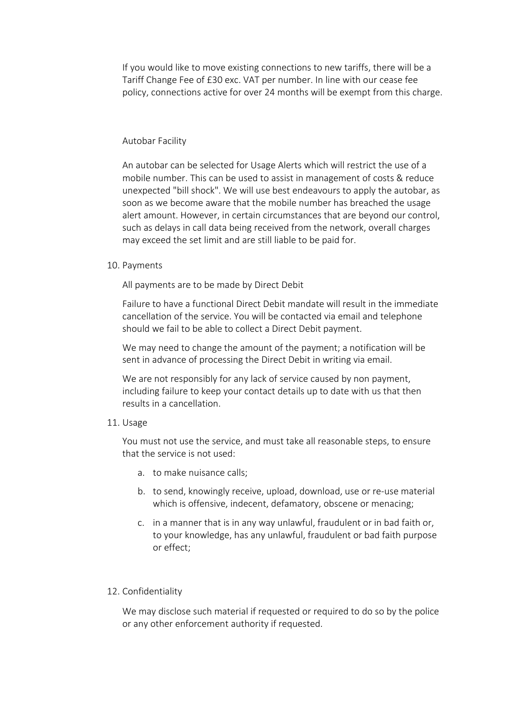If you would like to move existing connections to new tariffs, there will be a Tariff Change Fee of £30 exc. VAT per number. In line with our cease fee policy, connections active for over 24 months will be exempt from this charge.

## Autobar Facility

An autobar can be selected for Usage Alerts which will restrict the use of a mobile number. This can be used to assist in management of costs & reduce unexpected "bill shock". We will use best endeavours to apply the autobar, as soon as we become aware that the mobile number has breached the usage alert amount. However, in certain circumstances that are beyond our control, such as delays in call data being received from the network, overall charges may exceed the set limit and are still liable to be paid for.

#### 10. Payments

All payments are to be made by Direct Debit

Failure to have a functional Direct Debit mandate will result in the immediate cancellation of the service. You will be contacted via email and telephone should we fail to be able to collect a Direct Debit payment.

We may need to change the amount of the payment; a notification will be sent in advance of processing the Direct Debit in writing via email.

We are not responsibly for any lack of service caused by non payment, including failure to keep your contact details up to date with us that then results in a cancellation.

#### 11. Usage

You must not use the service, and must take all reasonable steps, to ensure that the service is not used:

- a. to make nuisance calls;
- b. to send, knowingly receive, upload, download, use or re-use material which is offensive, indecent, defamatory, obscene or menacing;
- c. in a manner that is in any way unlawful, fraudulent or in bad faith or, to your knowledge, has any unlawful, fraudulent or bad faith purpose or effect;

## 12. Confidentiality

We may disclose such material if requested or required to do so by the police or any other enforcement authority if requested.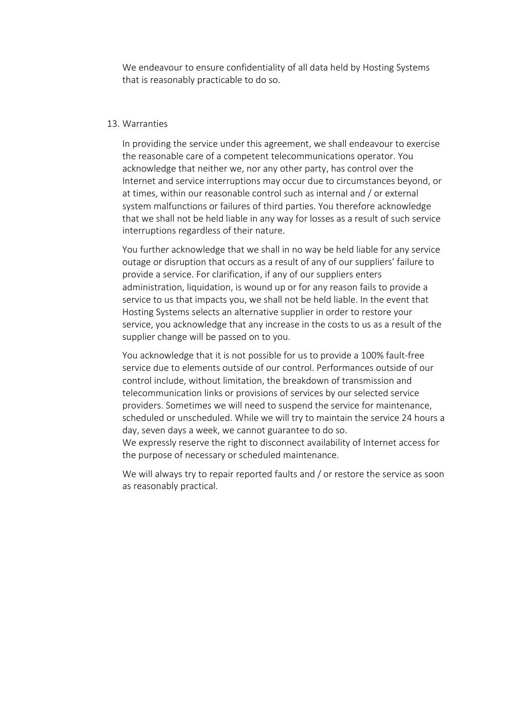We endeavour to ensure confidentiality of all data held by Hosting Systems that is reasonably practicable to do so.

#### 13. Warranties

In providing the service under this agreement, we shall endeavour to exercise the reasonable care of a competent telecommunications operator. You acknowledge that neither we, nor any other party, has control over the Internet and service interruptions may occur due to circumstances beyond, or at times, within our reasonable control such as internal and / or external system malfunctions or failures of third parties. You therefore acknowledge that we shall not be held liable in any way for losses as a result of such service interruptions regardless of their nature.

You further acknowledge that we shall in no way be held liable for any service outage or disruption that occurs as a result of any of our suppliers' failure to provide a service. For clarification, if any of our suppliers enters administration, liquidation, is wound up or for any reason fails to provide a service to us that impacts you, we shall not be held liable. In the event that Hosting Systems selects an alternative supplier in order to restore your service, you acknowledge that any increase in the costs to us as a result of the supplier change will be passed on to you.

You acknowledge that it is not possible for us to provide a 100% fault-free service due to elements outside of our control. Performances outside of our control include, without limitation, the breakdown of transmission and telecommunication links or provisions of services by our selected service providers. Sometimes we will need to suspend the service for maintenance, scheduled or unscheduled. While we will try to maintain the service 24 hours a day, seven days a week, we cannot guarantee to do so.

We expressly reserve the right to disconnect availability of Internet access for the purpose of necessary or scheduled maintenance.

We will always try to repair reported faults and / or restore the service as soon as reasonably practical.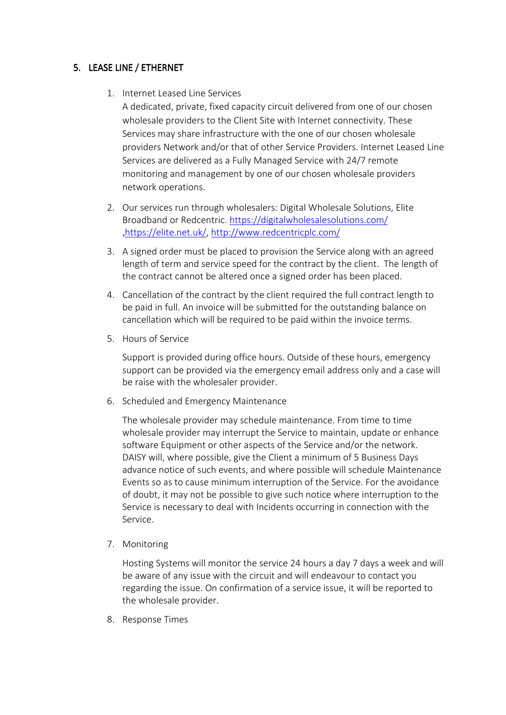# 5. LEASE LINE / ETHERNET

1. Internet Leased Line Services

A dedicated, private, fixed capacity circuit delivered from one of our chosen wholesale providers to the Client Site with Internet connectivity. These Services may share infrastructure with the one of our chosen wholesale providers Network and/or that of other Service Providers. Internet Leased Line Services are delivered as a Fully Managed Service with 24/7 remote monitoring and management by one of our chosen wholesale providers network operations.

- 2. Our services run through wholesalers: Digital Wholesale Solutions, Elite Broadband or Redcentric. https://digitalwholesalesolutions.com/ ,https://elite.net.uk/, http://www.redcentricplc.com/
- 3. A signed order must be placed to provision the Service along with an agreed length of term and service speed for the contract by the client. The length of the contract cannot be altered once a signed order has been placed.
- 4. Cancellation of the contract by the client required the full contract length to be paid in full. An invoice will be submitted for the outstanding balance on cancellation which will be required to be paid within the invoice terms.
- 5. Hours of Service

Support is provided during office hours. Outside of these hours, emergency support can be provided via the emergency email address only and a case will be raise with the wholesaler provider.

6. Scheduled and Emergency Maintenance

The wholesale provider may schedule maintenance. From time to time wholesale provider may interrupt the Service to maintain, update or enhance software Equipment or other aspects of the Service and/or the network. DAISY will, where possible, give the Client a minimum of 5 Business Days advance notice of such events, and where possible will schedule Maintenance Events so as to cause minimum interruption of the Service. For the avoidance of doubt, it may not be possible to give such notice where interruption to the Service is necessary to deal with Incidents occurring in connection with the Service.

7. Monitoring

Hosting Systems will monitor the service 24 hours a day 7 days a week and will be aware of any issue with the circuit and will endeavour to contact you regarding the issue. On confirmation of a service issue, it will be reported to the wholesale provider.

8. Response Times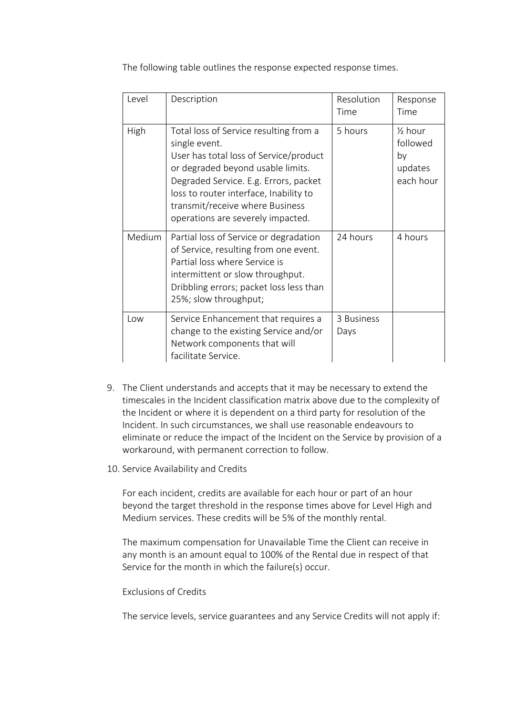The following table outlines the response expected response times.

| Level  | Description                                                                                                                                                                                                                                                                                       | Resolution<br>Time | Response<br>Time                                             |
|--------|---------------------------------------------------------------------------------------------------------------------------------------------------------------------------------------------------------------------------------------------------------------------------------------------------|--------------------|--------------------------------------------------------------|
| High   | Total loss of Service resulting from a<br>single event.<br>User has total loss of Service/product<br>or degraded beyond usable limits.<br>Degraded Service. E.g. Errors, packet<br>loss to router interface, Inability to<br>transmit/receive where Business<br>operations are severely impacted. | 5 hours            | $\frac{1}{2}$ hour<br>followed<br>by<br>updates<br>each hour |
| Medium | Partial loss of Service or degradation<br>of Service, resulting from one event.<br>Partial loss where Service is<br>intermittent or slow throughput.<br>Dribbling errors; packet loss less than<br>25%; slow throughput;                                                                          | 24 hours           | 4 hours                                                      |
| $\log$ | Service Enhancement that requires a<br>change to the existing Service and/or<br>Network components that will<br>facilitate Service.                                                                                                                                                               | 3 Business<br>Days |                                                              |

- 9. The Client understands and accepts that it may be necessary to extend the timescales in the Incident classification matrix above due to the complexity of the Incident or where it is dependent on a third party for resolution of the Incident. In such circumstances, we shall use reasonable endeavours to eliminate or reduce the impact of the Incident on the Service by provision of a workaround, with permanent correction to follow.
- 10. Service Availability and Credits

For each incident, credits are available for each hour or part of an hour beyond the target threshold in the response times above for Level High and Medium services. These credits will be 5% of the monthly rental.

The maximum compensation for Unavailable Time the Client can receive in any month is an amount equal to 100% of the Rental due in respect of that Service for the month in which the failure(s) occur.

## Exclusions of Credits

The service levels, service guarantees and any Service Credits will not apply if: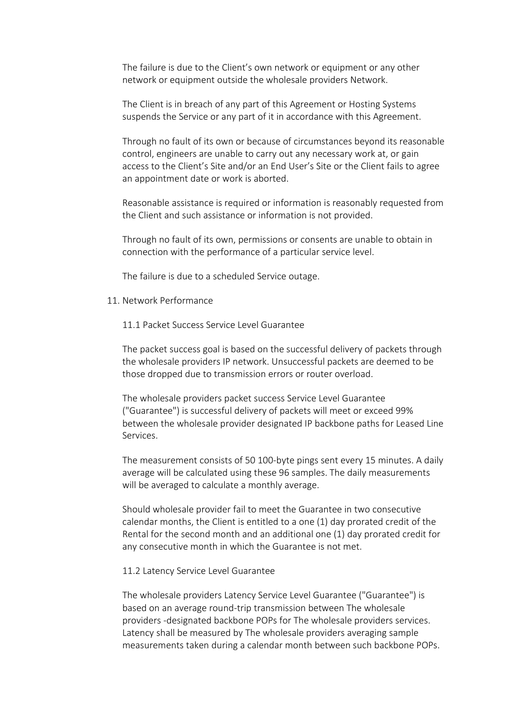The failure is due to the Client's own network or equipment or any other network or equipment outside the wholesale providers Network.

The Client is in breach of any part of this Agreement or Hosting Systems suspends the Service or any part of it in accordance with this Agreement.

Through no fault of its own or because of circumstances beyond its reasonable control, engineers are unable to carry out any necessary work at, or gain access to the Client's Site and/or an End User's Site or the Client fails to agree an appointment date or work is aborted.

Reasonable assistance is required or information is reasonably requested from the Client and such assistance or information is not provided.

Through no fault of its own, permissions or consents are unable to obtain in connection with the performance of a particular service level.

The failure is due to a scheduled Service outage.

- 11. Network Performance
	- 11.1 Packet Success Service Level Guarantee

The packet success goal is based on the successful delivery of packets through the wholesale providers IP network. Unsuccessful packets are deemed to be those dropped due to transmission errors or router overload.

The wholesale providers packet success Service Level Guarantee ("Guarantee") is successful delivery of packets will meet or exceed 99% between the wholesale provider designated IP backbone paths for Leased Line Services.

The measurement consists of 50 100-byte pings sent every 15 minutes. A daily average will be calculated using these 96 samples. The daily measurements will be averaged to calculate a monthly average.

Should wholesale provider fail to meet the Guarantee in two consecutive calendar months, the Client is entitled to a one (1) day prorated credit of the Rental for the second month and an additional one (1) day prorated credit for any consecutive month in which the Guarantee is not met.

## 11.2 Latency Service Level Guarantee

The wholesale providers Latency Service Level Guarantee ("Guarantee") is based on an average round-trip transmission between The wholesale providers -designated backbone POPs for The wholesale providers services. Latency shall be measured by The wholesale providers averaging sample measurements taken during a calendar month between such backbone POPs.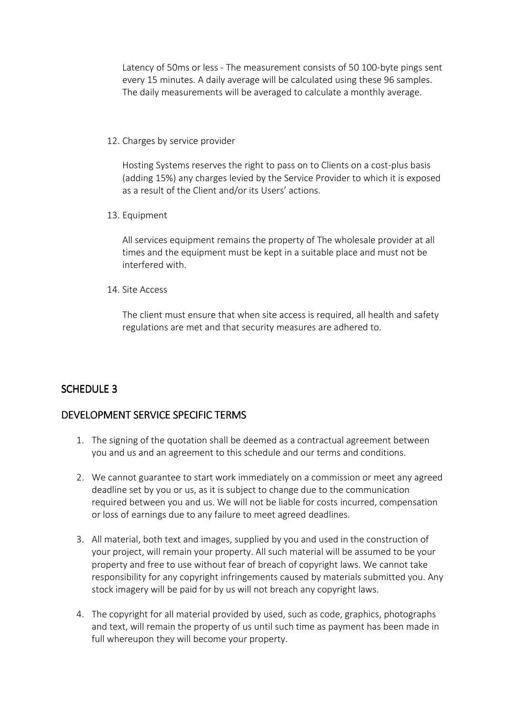Latency of 50ms or less - The measurement consists of 50 100-byte pings sent every 15 minutes. A daily average will be calculated using these 96 samples. The daily measurements will be averaged to calculate a monthly average.

12. Charges by service provider

Hosting Systems reserves the right to pass on to Clients on a cost-plus basis (adding 15%) any charges levied by the Service Provider to which it is exposed as a result of the Client and/or its Users' actions.

13. Equipment

All services equipment remains the property of The wholesale provider at all times and the equipment must be kept in a suitable place and must not be interfered with.

14. Site Access

The client must ensure that when site access is required, all health and safety regulations are met and that security measures are adhered to.

# SCHEDULE 3

# DEVELOPMENT SERVICE SPECIFIC TERMS

- 1. The signing of the quotation shall be deemed as a contractual agreement between you and us and an agreement to this schedule and our terms and conditions.
- 2. We cannot guarantee to start work immediately on a commission or meet any agreed deadline set by you or us, as it is subject to change due to the communication required between you and us. We will not be liable for costs incurred, compensation or loss of earnings due to any failure to meet agreed deadlines.
- 3. All material, both text and images, supplied by you and used in the construction of your project, will remain your property. All such material will be assumed to be your property and free to use without fear of breach of copyright laws. We cannot take responsibility for any copyright infringements caused by materials submitted you. Any stock imagery will be paid for by us will not breach any copyright laws.
- 4. The copyright for all material provided by used, such as code, graphics, photographs and text, will remain the property of us until such time as payment has been made in full whereupon they will become your property.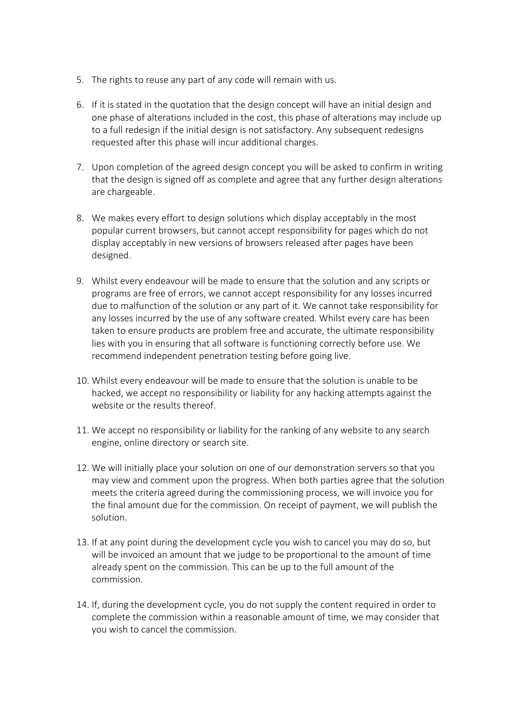- 5. The rights to reuse any part of any code will remain with us.
- 6. If it is stated in the quotation that the design concept will have an initial design and one phase of alterations included in the cost, this phase of alterations may include up to a full redesign if the initial design is not satisfactory. Any subsequent redesigns requested after this phase will incur additional charges.
- 7. Upon completion of the agreed design concept you will be asked to confirm in writing that the design is signed off as complete and agree that any further design alterations are chargeable.
- 8. We makes every effort to design solutions which display acceptably in the most popular current browsers, but cannot accept responsibility for pages which do not display acceptably in new versions of browsers released after pages have been designed.
- 9. Whilst every endeavour will be made to ensure that the solution and any scripts or programs are free of errors, we cannot accept responsibility for any losses incurred due to malfunction of the solution or any part of it. We cannot take responsibility for any losses incurred by the use of any software created. Whilst every care has been taken to ensure products are problem free and accurate, the ultimate responsibility lies with you in ensuring that all software is functioning correctly before use. We recommend independent penetration testing before going live.
- 10. Whilst every endeavour will be made to ensure that the solution is unable to be hacked, we accept no responsibility or liability for any hacking attempts against the website or the results thereof.
- 11. We accept no responsibility or liability for the ranking of any website to any search engine, online directory or search site.
- 12. We will initially place your solution on one of our demonstration servers so that you may view and comment upon the progress. When both parties agree that the solution meets the criteria agreed during the commissioning process, we will invoice you for the final amount due for the commission. On receipt of payment, we will publish the solution.
- 13. If at any point during the development cycle you wish to cancel you may do so, but will be invoiced an amount that we judge to be proportional to the amount of time already spent on the commission. This can be up to the full amount of the commission.
- 14. If, during the development cycle, you do not supply the content required in order to complete the commission within a reasonable amount of time, we may consider that you wish to cancel the commission.